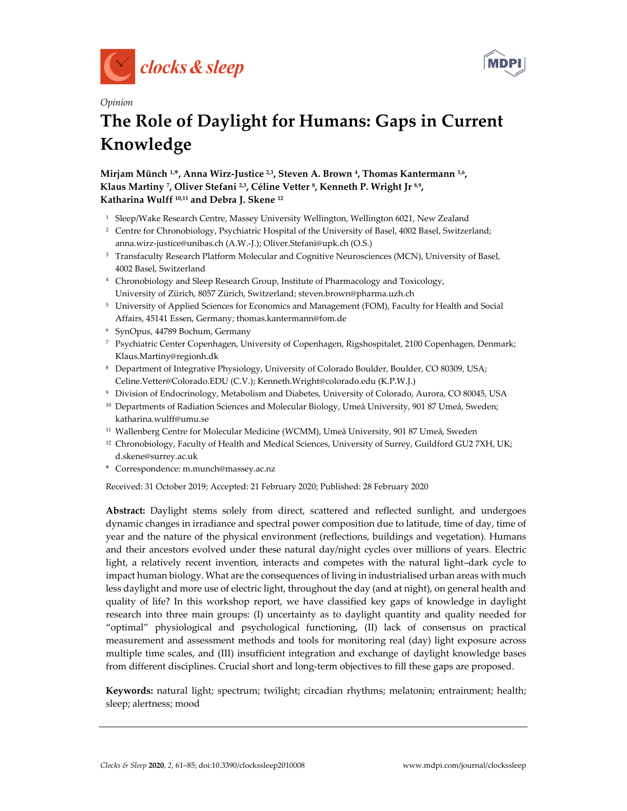



# *Opinion*  **The Role of Daylight for Humans: Gaps in Current Knowledge**

Mirjam Münch <sup>1,\*</sup>, Anna Wirz-Justice <sup>2,3</sup>, Steven A. Brown <sup>4</sup>, Thomas Kantermann <sup>5,6</sup>, Klaus Martiny <sup>7</sup>, Oliver Stefani<sup>2,3</sup>, Céline Vetter <sup>8</sup>, Kenneth P. Wright Jr 8,9, **Katharina Wulff 10,11 and Debra J. Skene 12**

- <sup>1</sup> Sleep/Wake Research Centre, Massey University Wellington, Wellington 6021, New Zealand
- <sup>2</sup> Centre for Chronobiology, Psychiatric Hospital of the University of Basel, 4002 Basel, Switzerland; anna.wirz-justice@unibas.ch (A.W.-J.); Oliver.Stefani@upk.ch (O.S.)
- <sup>3</sup> Transfaculty Research Platform Molecular and Cognitive Neurosciences (MCN), University of Basel, 4002 Basel, Switzerland
- 4 Chronobiology and Sleep Research Group, Institute of Pharmacology and Toxicology, University of Zürich, 8057 Zürich, Switzerland; steven.brown@pharma.uzh.ch
- 5 University of Applied Sciences for Economics and Management (FOM), Faculty for Health and Social Affairs, 45141 Essen, Germany; thomas.kantermann@fom.de
- 6 SynOpus, 44789 Bochum, Germany
- 7 Psychiatric Center Copenhagen, University of Copenhagen, Rigshospitalet, 2100 Copenhagen, Denmark; Klaus.Martiny@regionh.dk
- 8 Department of Integrative Physiology, University of Colorado Boulder, Boulder, CO 80309, USA; Celine.Vetter@Colorado.EDU (C.V.); Kenneth.Wright@colorado.edu (K.P.W.J.)
- 9 Division of Endocrinology, Metabolism and Diabetes, University of Colorado, Aurora, CO 80045, USA
- <sup>10</sup> Departments of Radiation Sciences and Molecular Biology, Umeå University, 901 87 Umeå, Sweden; katharina.wulff@umu.se
- 11 Wallenberg Centre for Molecular Medicine (WCMM), Umeå University, 901 87 Umeå, Sweden
- <sup>12</sup> Chronobiology, Faculty of Health and Medical Sciences, University of Surrey, Guildford GU2 7XH, UK; d.skene@surrey.ac.uk
- \* Correspondence: m.munch@massey.ac.nz

Received: 31 October 2019; Accepted: 21 February 2020; Published: 28 February 2020

**Abstract:** Daylight stems solely from direct, scattered and reflected sunlight, and undergoes dynamic changes in irradiance and spectral power composition due to latitude, time of day, time of year and the nature of the physical environment (reflections, buildings and vegetation). Humans and their ancestors evolved under these natural day/night cycles over millions of years. Electric light, a relatively recent invention, interacts and competes with the natural light–dark cycle to impact human biology. What are the consequences of living in industrialised urban areas with much less daylight and more use of electric light, throughout the day (and at night), on general health and quality of life? In this workshop report, we have classified key gaps of knowledge in daylight research into three main groups: (I) uncertainty as to daylight quantity and quality needed for "optimal" physiological and psychological functioning, (II) lack of consensus on practical measurement and assessment methods and tools for monitoring real (day) light exposure across multiple time scales, and (III) insufficient integration and exchange of daylight knowledge bases from different disciplines. Crucial short and long-term objectives to fill these gaps are proposed.

**Keywords:** natural light; spectrum; twilight; circadian rhythms; melatonin; entrainment; health; sleep; alertness; mood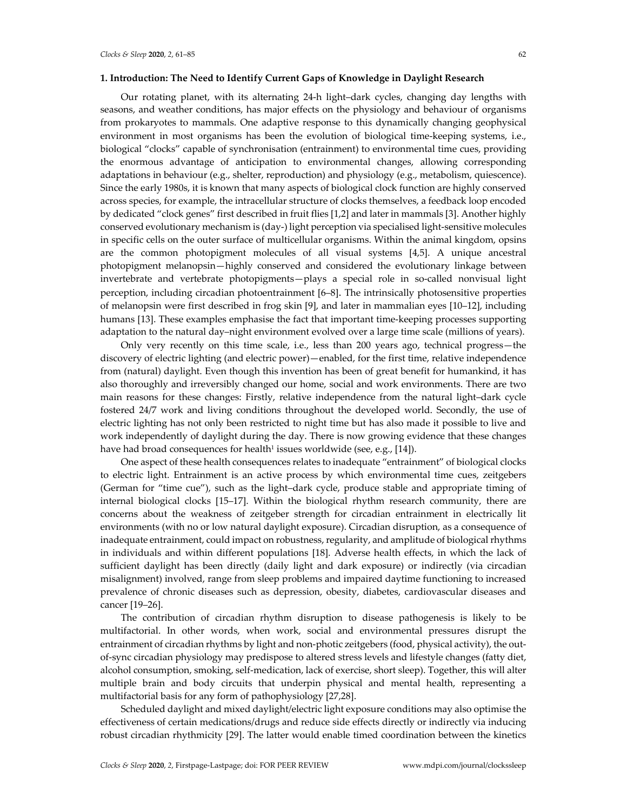# **1. Introduction: The Need to Identify Current Gaps of Knowledge in Daylight Research**

Our rotating planet, with its alternating 24-h light–dark cycles, changing day lengths with seasons, and weather conditions, has major effects on the physiology and behaviour of organisms from prokaryotes to mammals. One adaptive response to this dynamically changing geophysical environment in most organisms has been the evolution of biological time-keeping systems, i.e., biological "clocks" capable of synchronisation (entrainment) to environmental time cues, providing the enormous advantage of anticipation to environmental changes, allowing corresponding adaptations in behaviour (e.g., shelter, reproduction) and physiology (e.g., metabolism, quiescence). Since the early 1980s, it is known that many aspects of biological clock function are highly conserved across species, for example, the intracellular structure of clocks themselves, a feedback loop encoded by dedicated "clock genes" first described in fruit flies [1,2] and later in mammals [3]. Another highly conserved evolutionary mechanism is (day-) light perception via specialised light-sensitive molecules in specific cells on the outer surface of multicellular organisms. Within the animal kingdom, opsins are the common photopigment molecules of all visual systems [4,5]. A unique ancestral photopigment melanopsin—highly conserved and considered the evolutionary linkage between invertebrate and vertebrate photopigments—plays a special role in so-called nonvisual light perception, including circadian photoentrainment [6–8]. The intrinsically photosensitive properties of melanopsin were first described in frog skin [9], and later in mammalian eyes [10–12], including humans [13]. These examples emphasise the fact that important time-keeping processes supporting adaptation to the natural day–night environment evolved over a large time scale (millions of years).

Only very recently on this time scale, i.e., less than 200 years ago, technical progress—the discovery of electric lighting (and electric power)—enabled, for the first time, relative independence from (natural) daylight. Even though this invention has been of great benefit for humankind, it has also thoroughly and irreversibly changed our home, social and work environments. There are two main reasons for these changes: Firstly, relative independence from the natural light–dark cycle fostered 24/7 work and living conditions throughout the developed world. Secondly, the use of electric lighting has not only been restricted to night time but has also made it possible to live and work independently of daylight during the day. There is now growing evidence that these changes have had broad consequences for health<sup>1</sup> issues worldwide (see, e.g., [14]).

One aspect of these health consequences relates to inadequate "entrainment" of biological clocks to electric light. Entrainment is an active process by which environmental time cues, zeitgebers (German for "time cue"), such as the light–dark cycle, produce stable and appropriate timing of internal biological clocks [15–17]. Within the biological rhythm research community, there are concerns about the weakness of zeitgeber strength for circadian entrainment in electrically lit environments (with no or low natural daylight exposure). Circadian disruption, as a consequence of inadequate entrainment, could impact on robustness, regularity, and amplitude of biological rhythms in individuals and within different populations [18]. Adverse health effects, in which the lack of sufficient daylight has been directly (daily light and dark exposure) or indirectly (via circadian misalignment) involved, range from sleep problems and impaired daytime functioning to increased prevalence of chronic diseases such as depression, obesity, diabetes, cardiovascular diseases and cancer [19–26].

The contribution of circadian rhythm disruption to disease pathogenesis is likely to be multifactorial. In other words, when work, social and environmental pressures disrupt the entrainment of circadian rhythms by light and non-photic zeitgebers (food, physical activity), the outof-sync circadian physiology may predispose to altered stress levels and lifestyle changes (fatty diet, alcohol consumption, smoking, self-medication, lack of exercise, short sleep). Together, this will alter multiple brain and body circuits that underpin physical and mental health, representing a multifactorial basis for any form of pathophysiology [27,28].

Scheduled daylight and mixed daylight/electric light exposure conditions may also optimise the effectiveness of certain medications/drugs and reduce side effects directly or indirectly via inducing robust circadian rhythmicity [29]. The latter would enable timed coordination between the kinetics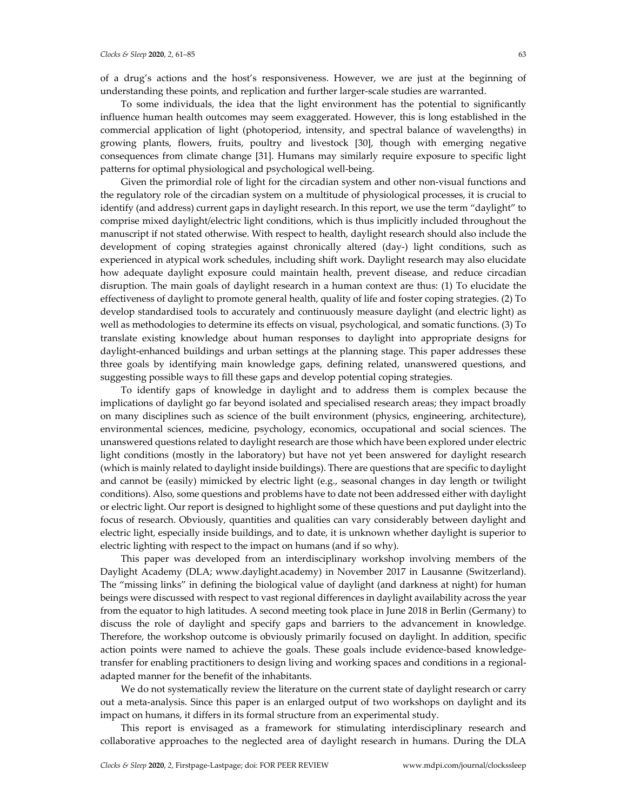of a drug's actions and the host's responsiveness. However, we are just at the beginning of understanding these points, and replication and further larger-scale studies are warranted.

To some individuals, the idea that the light environment has the potential to significantly influence human health outcomes may seem exaggerated. However, this is long established in the commercial application of light (photoperiod, intensity, and spectral balance of wavelengths) in growing plants, flowers, fruits, poultry and livestock [30], though with emerging negative consequences from climate change [31]. Humans may similarly require exposure to specific light patterns for optimal physiological and psychological well-being.

Given the primordial role of light for the circadian system and other non-visual functions and the regulatory role of the circadian system on a multitude of physiological processes, it is crucial to identify (and address) current gaps in daylight research. In this report, we use the term "daylight" to comprise mixed daylight/electric light conditions, which is thus implicitly included throughout the manuscript if not stated otherwise. With respect to health, daylight research should also include the development of coping strategies against chronically altered (day-) light conditions, such as experienced in atypical work schedules, including shift work. Daylight research may also elucidate how adequate daylight exposure could maintain health, prevent disease, and reduce circadian disruption. The main goals of daylight research in a human context are thus: (1) To elucidate the effectiveness of daylight to promote general health, quality of life and foster coping strategies. (2) To develop standardised tools to accurately and continuously measure daylight (and electric light) as well as methodologies to determine its effects on visual, psychological, and somatic functions. (3) To translate existing knowledge about human responses to daylight into appropriate designs for daylight-enhanced buildings and urban settings at the planning stage. This paper addresses these three goals by identifying main knowledge gaps, defining related, unanswered questions, and suggesting possible ways to fill these gaps and develop potential coping strategies.

To identify gaps of knowledge in daylight and to address them is complex because the implications of daylight go far beyond isolated and specialised research areas; they impact broadly on many disciplines such as science of the built environment (physics, engineering, architecture), environmental sciences, medicine, psychology, economics, occupational and social sciences. The unanswered questions related to daylight research are those which have been explored under electric light conditions (mostly in the laboratory) but have not yet been answered for daylight research (which is mainly related to daylight inside buildings). There are questions that are specific to daylight and cannot be (easily) mimicked by electric light (e.g., seasonal changes in day length or twilight conditions). Also, some questions and problems have to date not been addressed either with daylight or electric light. Our report is designed to highlight some of these questions and put daylight into the focus of research. Obviously, quantities and qualities can vary considerably between daylight and electric light, especially inside buildings, and to date, it is unknown whether daylight is superior to electric lighting with respect to the impact on humans (and if so why).

This paper was developed from an interdisciplinary workshop involving members of the Daylight Academy (DLA; www.daylight.academy) in November 2017 in Lausanne (Switzerland). The "missing links" in defining the biological value of daylight (and darkness at night) for human beings were discussed with respect to vast regional differences in daylight availability across the year from the equator to high latitudes. A second meeting took place in June 2018 in Berlin (Germany) to discuss the role of daylight and specify gaps and barriers to the advancement in knowledge. Therefore, the workshop outcome is obviously primarily focused on daylight. In addition, specific action points were named to achieve the goals. These goals include evidence-based knowledgetransfer for enabling practitioners to design living and working spaces and conditions in a regionaladapted manner for the benefit of the inhabitants.

We do not systematically review the literature on the current state of daylight research or carry out a meta-analysis. Since this paper is an enlarged output of two workshops on daylight and its impact on humans, it differs in its formal structure from an experimental study.

This report is envisaged as a framework for stimulating interdisciplinary research and collaborative approaches to the neglected area of daylight research in humans. During the DLA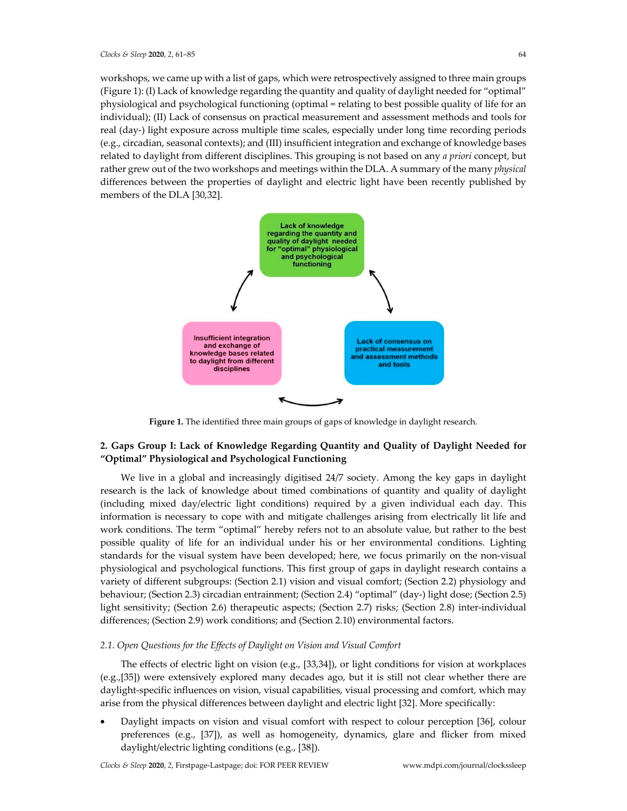workshops, we came up with a list of gaps, which were retrospectively assigned to three main groups (Figure 1): (I) Lack of knowledge regarding the quantity and quality of daylight needed for "optimal" physiological and psychological functioning (optimal = relating to best possible quality of life for an individual); (II) Lack of consensus on practical measurement and assessment methods and tools for real (day-) light exposure across multiple time scales, especially under long time recording periods (e.g., circadian, seasonal contexts); and (III) insufficient integration and exchange of knowledge bases related to daylight from different disciplines. This grouping is not based on any *a priori* concept, but rather grew out of the two workshops and meetings within the DLA. A summary of the many *physical* differences between the properties of daylight and electric light have been recently published by members of the DLA [30,32].



**Figure 1.** The identified three main groups of gaps of knowledge in daylight research.

# **2. Gaps Group I: Lack of Knowledge Regarding Quantity and Quality of Daylight Needed for "Optimal" Physiological and Psychological Functioning**

We live in a global and increasingly digitised 24/7 society. Among the key gaps in daylight research is the lack of knowledge about timed combinations of quantity and quality of daylight (including mixed day/electric light conditions) required by a given individual each day. This information is necessary to cope with and mitigate challenges arising from electrically lit life and work conditions. The term "optimal" hereby refers not to an absolute value, but rather to the best possible quality of life for an individual under his or her environmental conditions. Lighting standards for the visual system have been developed; here, we focus primarily on the non-visual physiological and psychological functions. This first group of gaps in daylight research contains a variety of different subgroups: (Section 2.1) vision and visual comfort; (Section 2.2) physiology and behaviour; (Section 2.3) circadian entrainment; (Section 2.4) "optimal" (day-) light dose; (Section 2.5) light sensitivity; (Section 2.6) therapeutic aspects; (Section 2.7) risks; (Section 2.8) inter-individual differences; (Section 2.9) work conditions; and (Section 2.10) environmental factors.

# *2.1. Open Questions for the Effects of Daylight on Vision and Visual Comfort*

The effects of electric light on vision (e.g., [33,34]), or light conditions for vision at workplaces (e.g.,[35]) were extensively explored many decades ago, but it is still not clear whether there are daylight-specific influences on vision, visual capabilities, visual processing and comfort, which may arise from the physical differences between daylight and electric light [32]. More specifically:

• Daylight impacts on vision and visual comfort with respect to colour perception [36], colour preferences (e.g., [37]), as well as homogeneity, dynamics, glare and flicker from mixed daylight/electric lighting conditions (e.g., [38]).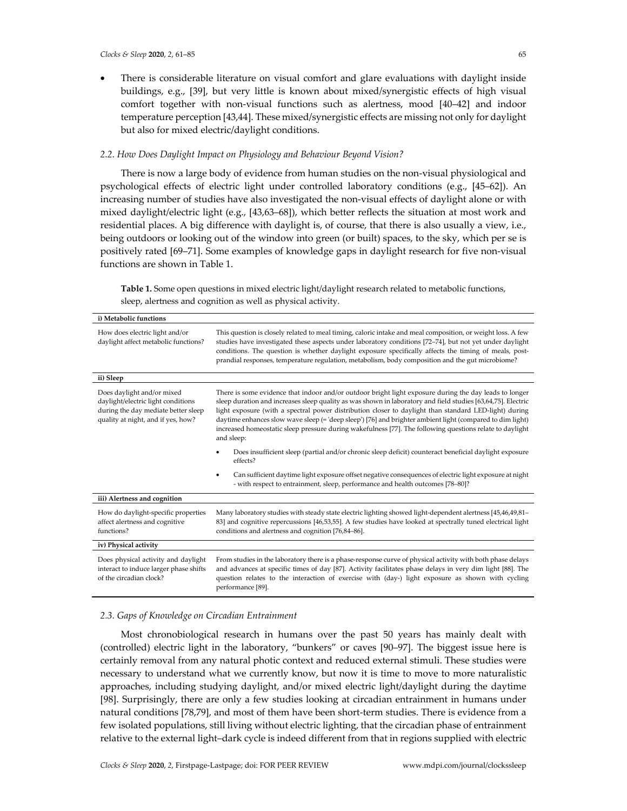• There is considerable literature on visual comfort and glare evaluations with daylight inside buildings, e.g., [39], but very little is known about mixed/synergistic effects of high visual comfort together with non-visual functions such as alertness, mood [40–42] and indoor temperature perception [43,44]. These mixed/synergistic effects are missing not only for daylight but also for mixed electric/daylight conditions.

# *2.2. How Does Daylight Impact on Physiology and Behaviour Beyond Vision?*

There is now a large body of evidence from human studies on the non-visual physiological and psychological effects of electric light under controlled laboratory conditions (e.g., [45–62]). An increasing number of studies have also investigated the non-visual effects of daylight alone or with mixed daylight/electric light (e.g., [43,63–68]), which better reflects the situation at most work and residential places. A big difference with daylight is, of course, that there is also usually a view, i.e., being outdoors or looking out of the window into green (or built) spaces, to the sky, which per se is positively rated [69–71]. Some examples of knowledge gaps in daylight research for five non-visual functions are shown in Table 1.

**Table 1.** Some open questions in mixed electric light/daylight research related to metabolic functions, sleep, alertness and cognition as well as physical activity.

| i) Metabolic functions                                                                                                                        |                                                                                                                                                                                                                                                                                                                                                                                                                                                                                                                                                                        |
|-----------------------------------------------------------------------------------------------------------------------------------------------|------------------------------------------------------------------------------------------------------------------------------------------------------------------------------------------------------------------------------------------------------------------------------------------------------------------------------------------------------------------------------------------------------------------------------------------------------------------------------------------------------------------------------------------------------------------------|
| How does electric light and/or<br>daylight affect metabolic functions?                                                                        | This question is closely related to meal timing, caloric intake and meal composition, or weight loss. A few<br>studies have investigated these aspects under laboratory conditions [72-74], but not yet under daylight<br>conditions. The question is whether daylight exposure specifically affects the timing of meals, post-<br>prandial responses, temperature regulation, metabolism, body composition and the gut microbiome?                                                                                                                                    |
| ii) Sleep                                                                                                                                     |                                                                                                                                                                                                                                                                                                                                                                                                                                                                                                                                                                        |
| Does daylight and/or mixed<br>daylight/electric light conditions<br>during the day mediate better sleep<br>quality at night, and if yes, how? | There is some evidence that indoor and/or outdoor bright light exposure during the day leads to longer<br>sleep duration and increases sleep quality as was shown in laboratory and field studies [63,64,75]. Electric<br>light exposure (with a spectral power distribution closer to daylight than standard LED-light) during<br>daytime enhances slow wave sleep (= 'deep sleep') [76] and brighter ambient light (compared to dim light)<br>increased homeostatic sleep pressure during wakefulness [77]. The following questions relate to daylight<br>and sleep: |
|                                                                                                                                               | Does insufficient sleep (partial and/or chronic sleep deficit) counteract beneficial daylight exposure<br>effects?                                                                                                                                                                                                                                                                                                                                                                                                                                                     |
|                                                                                                                                               | Can sufficient daytime light exposure offset negative consequences of electric light exposure at night<br>$\bullet$<br>- with respect to entrainment, sleep, performance and health outcomes [78-80]?                                                                                                                                                                                                                                                                                                                                                                  |
| iii) Alertness and cognition                                                                                                                  |                                                                                                                                                                                                                                                                                                                                                                                                                                                                                                                                                                        |
| How do daylight-specific properties<br>affect alertness and cognitive<br>functions?                                                           | Many laboratory studies with steady state electric lighting showed light-dependent alertness [45,46,49,81-<br>83] and cognitive repercussions [46,53,55]. A few studies have looked at spectrally tuned electrical light<br>conditions and alertness and cognition [76,84-86].                                                                                                                                                                                                                                                                                         |
| iv) Physical activity                                                                                                                         |                                                                                                                                                                                                                                                                                                                                                                                                                                                                                                                                                                        |
| Does physical activity and daylight<br>interact to induce larger phase shifts<br>of the circadian clock?                                      | From studies in the laboratory there is a phase-response curve of physical activity with both phase delays<br>and advances at specific times of day [87]. Activity facilitates phase delays in very dim light [88]. The<br>question relates to the interaction of exercise with (day-) light exposure as shown with cycling<br>performance [89].                                                                                                                                                                                                                       |

### *2.3. Gaps of Knowledge on Circadian Entrainment*

Most chronobiological research in humans over the past 50 years has mainly dealt with (controlled) electric light in the laboratory, "bunkers" or caves [90–97]. The biggest issue here is certainly removal from any natural photic context and reduced external stimuli. These studies were necessary to understand what we currently know, but now it is time to move to more naturalistic approaches, including studying daylight, and/or mixed electric light/daylight during the daytime [98]. Surprisingly, there are only a few studies looking at circadian entrainment in humans under natural conditions [78,79], and most of them have been short-term studies. There is evidence from a few isolated populations, still living without electric lighting, that the circadian phase of entrainment relative to the external light–dark cycle is indeed different from that in regions supplied with electric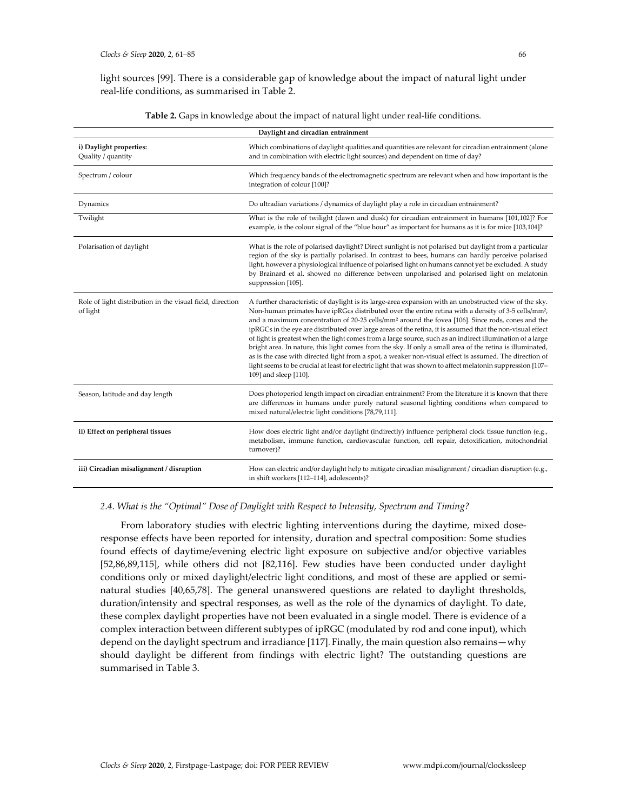light sources [99]. There is a considerable gap of knowledge about the impact of natural light under real-life conditions, as summarised in Table 2.

| Daylight and circadian entrainment                                    |                                                                                                                                                                                                                                                                                                                                                                                                                                                                                                                                                                                                                                                                                                                                                                                                                                                                                                                                      |
|-----------------------------------------------------------------------|--------------------------------------------------------------------------------------------------------------------------------------------------------------------------------------------------------------------------------------------------------------------------------------------------------------------------------------------------------------------------------------------------------------------------------------------------------------------------------------------------------------------------------------------------------------------------------------------------------------------------------------------------------------------------------------------------------------------------------------------------------------------------------------------------------------------------------------------------------------------------------------------------------------------------------------|
| i) Daylight properties:<br>Quality / quantity                         | Which combinations of daylight qualities and quantities are relevant for circadian entrainment (alone<br>and in combination with electric light sources) and dependent on time of day?                                                                                                                                                                                                                                                                                                                                                                                                                                                                                                                                                                                                                                                                                                                                               |
| Spectrum / colour                                                     | Which frequency bands of the electromagnetic spectrum are relevant when and how important is the<br>integration of colour [100]?                                                                                                                                                                                                                                                                                                                                                                                                                                                                                                                                                                                                                                                                                                                                                                                                     |
| Dynamics                                                              | Do ultradian variations / dynamics of daylight play a role in circadian entrainment?                                                                                                                                                                                                                                                                                                                                                                                                                                                                                                                                                                                                                                                                                                                                                                                                                                                 |
| Twilight                                                              | What is the role of twilight (dawn and dusk) for circadian entrainment in humans [101,102]? For<br>example, is the colour signal of the "blue hour" as important for humans as it is for mice [103,104]?                                                                                                                                                                                                                                                                                                                                                                                                                                                                                                                                                                                                                                                                                                                             |
| Polarisation of daylight                                              | What is the role of polarised daylight? Direct sunlight is not polarised but daylight from a particular<br>region of the sky is partially polarised. In contrast to bees, humans can hardly perceive polarised<br>light, however a physiological influence of polarised light on humans cannot yet be excluded. A study<br>by Brainard et al. showed no difference between unpolarised and polarised light on melatonin<br>suppression [105].                                                                                                                                                                                                                                                                                                                                                                                                                                                                                        |
| Role of light distribution in the visual field, direction<br>of light | A further characteristic of daylight is its large-area expansion with an unobstructed view of the sky.<br>Non-human primates have ipRGcs distributed over the entire retina with a density of 3-5 cells/mm <sup>2</sup> ,<br>and a maximum concentration of 20-25 cells/mm <sup>2</sup> around the fovea [106]. Since rods, cones and the<br>ipRGCs in the eye are distributed over large areas of the retina, it is assumed that the non-visual effect<br>of light is greatest when the light comes from a large source, such as an indirect illumination of a large<br>bright area. In nature, this light comes from the sky. If only a small area of the retina is illuminated,<br>as is the case with directed light from a spot, a weaker non-visual effect is assumed. The direction of<br>light seems to be crucial at least for electric light that was shown to affect melatonin suppression [107-<br>109] and sleep [110]. |
| Season, latitude and day length                                       | Does photoperiod length impact on circadian entrainment? From the literature it is known that there<br>are differences in humans under purely natural seasonal lighting conditions when compared to<br>mixed natural/electric light conditions [78,79,111].                                                                                                                                                                                                                                                                                                                                                                                                                                                                                                                                                                                                                                                                          |
| ii) Effect on peripheral tissues                                      | How does electric light and/or daylight (indirectly) influence peripheral clock tissue function (e.g.,<br>metabolism, immune function, cardiovascular function, cell repair, detoxification, mitochondrial<br>turnover)?                                                                                                                                                                                                                                                                                                                                                                                                                                                                                                                                                                                                                                                                                                             |
| iii) Circadian misalignment / disruption                              | How can electric and/or daylight help to mitigate circadian misalignment / circadian disruption (e.g.,<br>in shift workers [112-114], adolescents)?                                                                                                                                                                                                                                                                                                                                                                                                                                                                                                                                                                                                                                                                                                                                                                                  |

**Table 2.** Gaps in knowledge about the impact of natural light under real-life conditions.

# *2.4. What is the "Optimal" Dose of Daylight with Respect to Intensity, Spectrum and Timing?*

From laboratory studies with electric lighting interventions during the daytime, mixed doseresponse effects have been reported for intensity, duration and spectral composition: Some studies found effects of daytime/evening electric light exposure on subjective and/or objective variables [52,86,89,115], while others did not [82,116]. Few studies have been conducted under daylight conditions only or mixed daylight/electric light conditions, and most of these are applied or seminatural studies [40,65,78]. The general unanswered questions are related to daylight thresholds, duration/intensity and spectral responses, as well as the role of the dynamics of daylight. To date, these complex daylight properties have not been evaluated in a single model. There is evidence of a complex interaction between different subtypes of ipRGC (modulated by rod and cone input), which depend on the daylight spectrum and irradiance [117]. Finally, the main question also remains—why should daylight be different from findings with electric light? The outstanding questions are summarised in Table 3.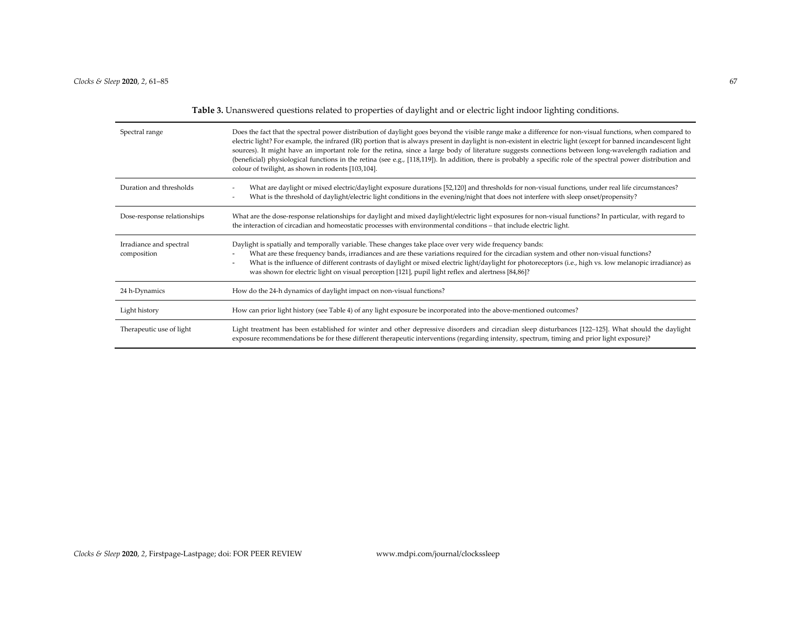**Table 3.** Unanswered questions related to properties of daylight and or electric light indoor lighting conditions.

| Spectral range                         | Does the fact that the spectral power distribution of daylight goes beyond the visible range make a difference for non-visual functions, when compared to<br>electric light? For example, the infrared (IR) portion that is always present in daylight is non-existent in electric light (except for banned incandescent light<br>sources). It might have an important role for the retina, since a large body of literature suggests connections between long-wavelength radiation and<br>(beneficial) physiological functions in the retina (see e.g., [118,119]). In addition, there is probably a specific role of the spectral power distribution and<br>colour of twilight, as shown in rodents [103,104]. |
|----------------------------------------|------------------------------------------------------------------------------------------------------------------------------------------------------------------------------------------------------------------------------------------------------------------------------------------------------------------------------------------------------------------------------------------------------------------------------------------------------------------------------------------------------------------------------------------------------------------------------------------------------------------------------------------------------------------------------------------------------------------|
| Duration and thresholds                | What are daylight or mixed electric/daylight exposure durations [52,120] and thresholds for non-visual functions, under real life circumstances?<br>What is the threshold of daylight/electric light conditions in the evening/night that does not interfere with sleep onset/propensity?                                                                                                                                                                                                                                                                                                                                                                                                                        |
| Dose-response relationships            | What are the dose-response relationships for daylight and mixed daylight/electric light exposures for non-visual functions? In particular, with regard to<br>the interaction of circadian and homeostatic processes with environmental conditions – that include electric light.                                                                                                                                                                                                                                                                                                                                                                                                                                 |
| Irradiance and spectral<br>composition | Daylight is spatially and temporally variable. These changes take place over very wide frequency bands:<br>What are these frequency bands, irradiances and are these variations required for the circadian system and other non-visual functions?<br>What is the influence of different contrasts of daylight or mixed electric light/daylight for photoreceptors (i.e., high vs. low melanopic irradiance) as<br>was shown for electric light on visual perception [121], pupil light reflex and alertness [84,86]?                                                                                                                                                                                             |
| 24 h-Dynamics                          | How do the 24-h dynamics of daylight impact on non-visual functions?                                                                                                                                                                                                                                                                                                                                                                                                                                                                                                                                                                                                                                             |
| Light history                          | How can prior light history (see Table 4) of any light exposure be incorporated into the above-mentioned outcomes?                                                                                                                                                                                                                                                                                                                                                                                                                                                                                                                                                                                               |
| Therapeutic use of light               | Light treatment has been established for winter and other depressive disorders and circadian sleep disturbances [122-125]. What should the daylight<br>exposure recommendations be for these different therapeutic interventions (regarding intensity, spectrum, timing and prior light exposure)?                                                                                                                                                                                                                                                                                                                                                                                                               |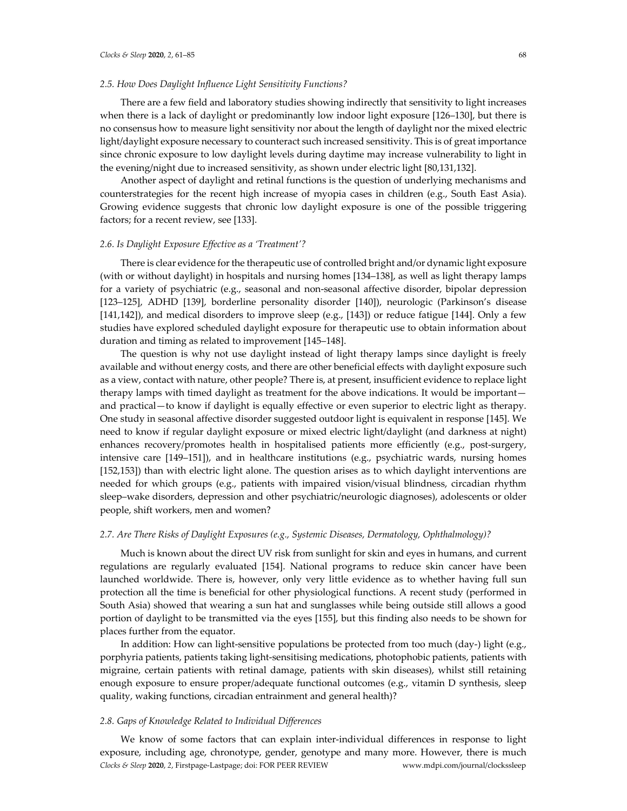# *2.5. How Does Daylight Influence Light Sensitivity Functions?*

There are a few field and laboratory studies showing indirectly that sensitivity to light increases when there is a lack of daylight or predominantly low indoor light exposure [126–130], but there is no consensus how to measure light sensitivity nor about the length of daylight nor the mixed electric light/daylight exposure necessary to counteract such increased sensitivity. This is of great importance since chronic exposure to low daylight levels during daytime may increase vulnerability to light in the evening/night due to increased sensitivity, as shown under electric light [80,131,132].

Another aspect of daylight and retinal functions is the question of underlying mechanisms and counterstrategies for the recent high increase of myopia cases in children (e.g., South East Asia). Growing evidence suggests that chronic low daylight exposure is one of the possible triggering factors; for a recent review, see [133].

### *2.6. Is Daylight Exposure Effective as a 'Treatment'?*

There is clear evidence for the therapeutic use of controlled bright and/or dynamic light exposure (with or without daylight) in hospitals and nursing homes [134–138], as well as light therapy lamps for a variety of psychiatric (e.g., seasonal and non-seasonal affective disorder, bipolar depression [123–125], ADHD [139], borderline personality disorder [140]), neurologic (Parkinson's disease [141,142]), and medical disorders to improve sleep (e.g., [143]) or reduce fatigue [144]. Only a few studies have explored scheduled daylight exposure for therapeutic use to obtain information about duration and timing as related to improvement [145–148].

The question is why not use daylight instead of light therapy lamps since daylight is freely available and without energy costs, and there are other beneficial effects with daylight exposure such as a view, contact with nature, other people? There is, at present, insufficient evidence to replace light therapy lamps with timed daylight as treatment for the above indications. It would be important and practical—to know if daylight is equally effective or even superior to electric light as therapy. One study in seasonal affective disorder suggested outdoor light is equivalent in response [145]. We need to know if regular daylight exposure or mixed electric light/daylight (and darkness at night) enhances recovery/promotes health in hospitalised patients more efficiently (e.g., post-surgery, intensive care [149–151]), and in healthcare institutions (e.g., psychiatric wards, nursing homes [152,153]) than with electric light alone. The question arises as to which daylight interventions are needed for which groups (e.g., patients with impaired vision/visual blindness, circadian rhythm sleep–wake disorders, depression and other psychiatric/neurologic diagnoses), adolescents or older people, shift workers, men and women?

## *2.7. Are There Risks of Daylight Exposures (e.g., Systemic Diseases, Dermatology, Ophthalmology)?*

Much is known about the direct UV risk from sunlight for skin and eyes in humans, and current regulations are regularly evaluated [154]. National programs to reduce skin cancer have been launched worldwide. There is, however, only very little evidence as to whether having full sun protection all the time is beneficial for other physiological functions. A recent study (performed in South Asia) showed that wearing a sun hat and sunglasses while being outside still allows a good portion of daylight to be transmitted via the eyes [155], but this finding also needs to be shown for places further from the equator.

In addition: How can light-sensitive populations be protected from too much (day-) light (e.g., porphyria patients, patients taking light-sensitising medications, photophobic patients, patients with migraine, certain patients with retinal damage, patients with skin diseases), whilst still retaining enough exposure to ensure proper/adequate functional outcomes (e.g., vitamin D synthesis, sleep quality, waking functions, circadian entrainment and general health)?

# *2.8. Gaps of Knowledge Related to Individual Differences*

*Clocks & Sleep* **2020**, *2*, Firstpage-Lastpage; doi: FOR PEER REVIEW www.mdpi.com/journal/clockssleep We know of some factors that can explain inter-individual differences in response to light exposure, including age, chronotype, gender, genotype and many more. However, there is much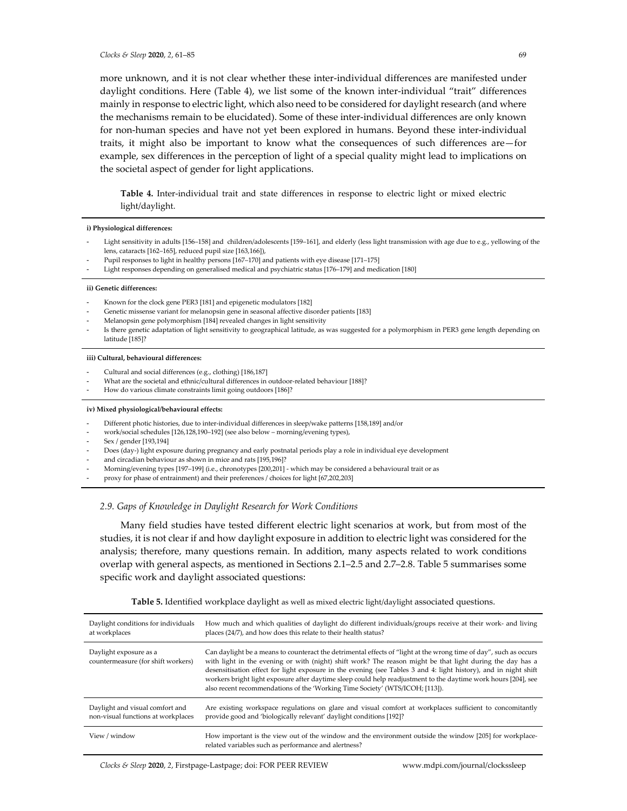more unknown, and it is not clear whether these inter-individual differences are manifested under daylight conditions. Here (Table 4), we list some of the known inter-individual "trait" differences mainly in response to electric light, which also need to be considered for daylight research (and where the mechanisms remain to be elucidated). Some of these inter-individual differences are only known for non-human species and have not yet been explored in humans. Beyond these inter-individual traits, it might also be important to know what the consequences of such differences are—for example, sex differences in the perception of light of a special quality might lead to implications on the societal aspect of gender for light applications.

**Table 4.** Inter-individual trait and state differences in response to electric light or mixed electric light/daylight.

#### **i) Physiological differences:**

- Light sensitivity in adults [156-158] and children/adolescents [159-161], and elderly (less light transmission with age due to e.g., yellowing of the lens, cataracts [162–165], reduced pupil size [163,166]),
- Pupil responses to light in healthy persons [167-170] and patients with eye disease [171-175]
- Light responses depending on generalised medical and psychiatric status [176-179] and medication [180]

#### **ii) Genetic differences:**

- Known for the clock gene PER3 [181] and epigenetic modulators [182]
- Genetic missense variant for melanopsin gene in seasonal affective disorder patients [183]
- Melanopsin gene polymorphism [184] revealed changes in light sensitivity
- Is there genetic adaptation of light sensitivity to geographical latitude, as was suggested for a polymorphism in PER3 gene length depending on latitude [185]?

#### **iii) Cultural, behavioural differences:**

- Cultural and social differences (e.g., clothing) [186,187]
- What are the societal and ethnic/cultural differences in outdoor-related behaviour [188]?
- How do various climate constraints limit going outdoors [186]?

#### **iv) Mixed physiological/behavioural effects:**

- Different photic histories, due to inter-individual differences in sleep/wake patterns [158,189] and/or
- work/social schedules [126,128,190–192] (see also below morning/evening types),
- Sex / gender [193,194]
- Does (day-) light exposure during pregnancy and early postnatal periods play a role in individual eye development
- and circadian behaviour as shown in mice and rats [195,196]?
- Morning/evening types [197–199] (i.e., chronotypes [200,201] which may be considered a behavioural trait or as
- proxy for phase of entrainment) and their preferences / choices for light [67,202,203]

# *2.9. Gaps of Knowledge in Daylight Research for Work Conditions*

Many field studies have tested different electric light scenarios at work, but from most of the studies, it is not clear if and how daylight exposure in addition to electric light was considered for the analysis; therefore, many questions remain. In addition, many aspects related to work conditions overlap with general aspects, as mentioned in Sections 2.1–2.5 and 2.7–2.8. Table 5 summarises some specific work and daylight associated questions:

| Daylight conditions for individuals<br>at workplaces                  | How much and which qualities of daylight do different individuals/groups receive at their work- and living<br>places (24/7), and how does this relate to their health status?                                                                                                                                                                                                                                                                                                                                                                        |
|-----------------------------------------------------------------------|------------------------------------------------------------------------------------------------------------------------------------------------------------------------------------------------------------------------------------------------------------------------------------------------------------------------------------------------------------------------------------------------------------------------------------------------------------------------------------------------------------------------------------------------------|
| Daylight exposure as a<br>countermeasure (for shift workers)          | Can daylight be a means to counteract the detrimental effects of "light at the wrong time of day", such as occurs<br>with light in the evening or with (night) shift work? The reason might be that light during the day has a<br>desensitisation effect for light exposure in the evening (see Tables 3 and 4: light history), and in night shift<br>workers bright light exposure after daytime sleep could help readjustment to the daytime work hours [204], see<br>also recent recommendations of the 'Working Time Society' (WTS/ICOH; [113]). |
| Daylight and visual comfort and<br>non-visual functions at workplaces | Are existing workspace regulations on glare and visual comfort at workplaces sufficient to concomitantly<br>provide good and 'biologically relevant' daylight conditions [192]?                                                                                                                                                                                                                                                                                                                                                                      |
| View / window                                                         | How important is the view out of the window and the environment outside the window [205] for workplace-<br>related variables such as performance and alertness?                                                                                                                                                                                                                                                                                                                                                                                      |

**Table 5.** Identified workplace daylight as well as mixed electric light/daylight associated questions.

*Clocks & Sleep* **2020**, *2*, Firstpage-Lastpage; doi: FOR PEER REVIEW www.mdpi.com/journal/clockssleep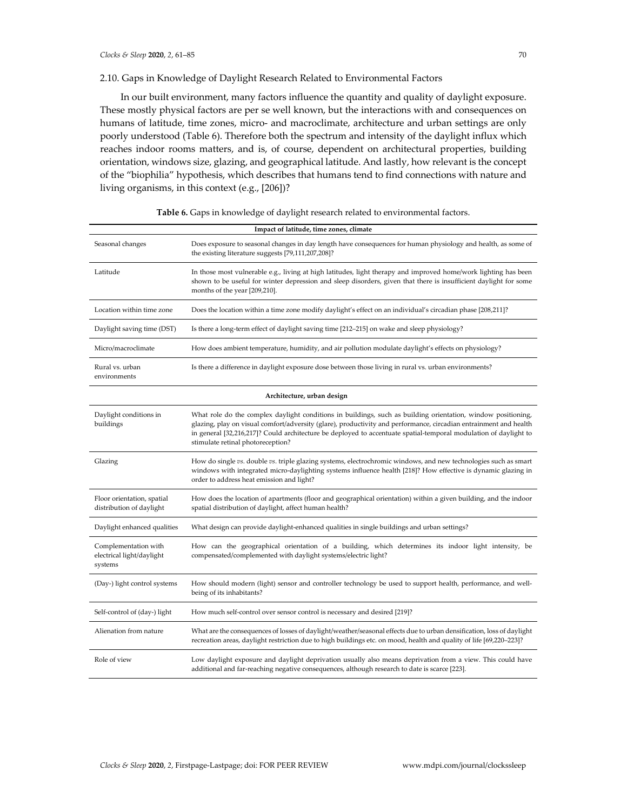# 2.10. Gaps in Knowledge of Daylight Research Related to Environmental Factors

In our built environment, many factors influence the quantity and quality of daylight exposure. These mostly physical factors are per se well known, but the interactions with and consequences on humans of latitude, time zones, micro- and macroclimate, architecture and urban settings are only poorly understood (Table 6). Therefore both the spectrum and intensity of the daylight influx which reaches indoor rooms matters, and is, of course, dependent on architectural properties, building orientation, windows size, glazing, and geographical latitude. And lastly, how relevant is the concept of the "biophilia" hypothesis, which describes that humans tend to find connections with nature and living organisms, in this context (e.g., [206])?

| Impact of latitude, time zones, climate                      |                                                                                                                                                                                                                                                                                                                                                                                            |  |
|--------------------------------------------------------------|--------------------------------------------------------------------------------------------------------------------------------------------------------------------------------------------------------------------------------------------------------------------------------------------------------------------------------------------------------------------------------------------|--|
| Seasonal changes                                             | Does exposure to seasonal changes in day length have consequences for human physiology and health, as some of<br>the existing literature suggests [79,111,207,208]?                                                                                                                                                                                                                        |  |
| Latitude                                                     | In those most vulnerable e.g., living at high latitudes, light therapy and improved home/work lighting has been<br>shown to be useful for winter depression and sleep disorders, given that there is insufficient daylight for some<br>months of the year [209,210].                                                                                                                       |  |
| Location within time zone                                    | Does the location within a time zone modify daylight's effect on an individual's circadian phase [208,211]?                                                                                                                                                                                                                                                                                |  |
| Daylight saving time (DST)                                   | Is there a long-term effect of daylight saving time [212-215] on wake and sleep physiology?                                                                                                                                                                                                                                                                                                |  |
| Micro/macroclimate                                           | How does ambient temperature, humidity, and air pollution modulate daylight's effects on physiology?                                                                                                                                                                                                                                                                                       |  |
| Rural vs. urban<br>environments                              | Is there a difference in daylight exposure dose between those living in rural vs. urban environments?                                                                                                                                                                                                                                                                                      |  |
| Architecture, urban design                                   |                                                                                                                                                                                                                                                                                                                                                                                            |  |
| Daylight conditions in<br>buildings                          | What role do the complex daylight conditions in buildings, such as building orientation, window positioning,<br>glazing, play on visual comfort/adversity (glare), productivity and performance, circadian entrainment and health<br>in general [32,216,217]? Could architecture be deployed to accentuate spatial-temporal modulation of daylight to<br>stimulate retinal photoreception? |  |
| Glazing                                                      | How do single vs. double vs. triple glazing systems, electrochromic windows, and new technologies such as smart<br>windows with integrated micro-daylighting systems influence health [218]? How effective is dynamic glazing in<br>order to address heat emission and light?                                                                                                              |  |
| Floor orientation, spatial<br>distribution of daylight       | How does the location of apartments (floor and geographical orientation) within a given building, and the indoor<br>spatial distribution of daylight, affect human health?                                                                                                                                                                                                                 |  |
| Daylight enhanced qualities                                  | What design can provide daylight-enhanced qualities in single buildings and urban settings?                                                                                                                                                                                                                                                                                                |  |
| Complementation with<br>electrical light/daylight<br>systems | How can the geographical orientation of a building, which determines its indoor light intensity, be<br>compensated/complemented with daylight systems/electric light?                                                                                                                                                                                                                      |  |
| (Day-) light control systems                                 | How should modern (light) sensor and controller technology be used to support health, performance, and well-<br>being of its inhabitants?                                                                                                                                                                                                                                                  |  |
| Self-control of (day-) light                                 | How much self-control over sensor control is necessary and desired [219]?                                                                                                                                                                                                                                                                                                                  |  |
| Alienation from nature                                       | What are the consequences of losses of daylight/weather/seasonal effects due to urban densification, loss of daylight<br>recreation areas, daylight restriction due to high buildings etc. on mood, health and quality of life [69,220-223]?                                                                                                                                               |  |
| Role of view                                                 | Low daylight exposure and daylight deprivation usually also means deprivation from a view. This could have<br>additional and far-reaching negative consequences, although research to date is scarce [223].                                                                                                                                                                                |  |

**Table 6.** Gaps in knowledge of daylight research related to environmental factors.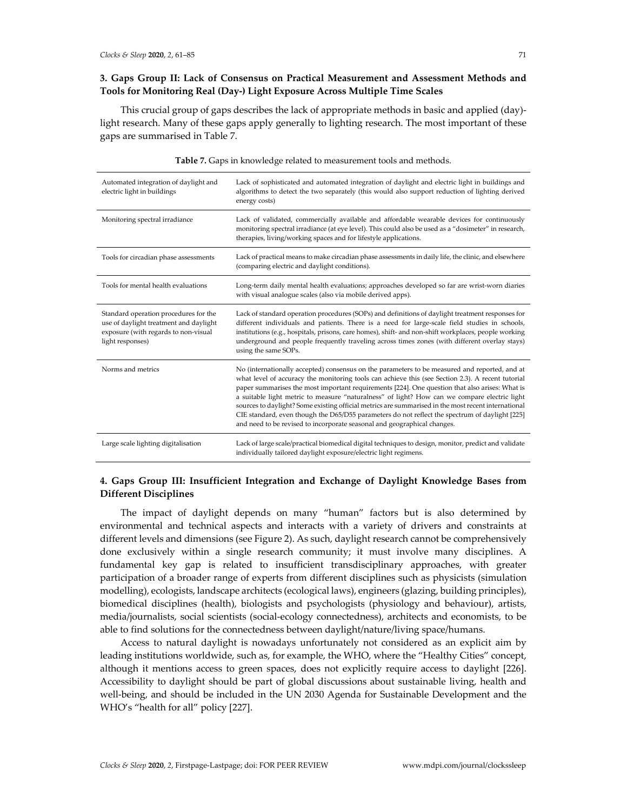# **3. Gaps Group II: Lack of Consensus on Practical Measurement and Assessment Methods and Tools for Monitoring Real (Day-) Light Exposure Across Multiple Time Scales**

This crucial group of gaps describes the lack of appropriate methods in basic and applied (day) light research. Many of these gaps apply generally to lighting research. The most important of these gaps are summarised in Table 7.

| Automated integration of daylight and<br>electric light in buildings                                                                        | Lack of sophisticated and automated integration of daylight and electric light in buildings and<br>algorithms to detect the two separately (this would also support reduction of lighting derived<br>energy costs)                                                                                                                                                                                                                                                                                                                                                                                                                                                                        |
|---------------------------------------------------------------------------------------------------------------------------------------------|-------------------------------------------------------------------------------------------------------------------------------------------------------------------------------------------------------------------------------------------------------------------------------------------------------------------------------------------------------------------------------------------------------------------------------------------------------------------------------------------------------------------------------------------------------------------------------------------------------------------------------------------------------------------------------------------|
| Monitoring spectral irradiance                                                                                                              | Lack of validated, commercially available and affordable wearable devices for continuously<br>monitoring spectral irradiance (at eye level). This could also be used as a "dosimeter" in research,<br>therapies, living/working spaces and for lifestyle applications.                                                                                                                                                                                                                                                                                                                                                                                                                    |
| Tools for circadian phase assessments                                                                                                       | Lack of practical means to make circadian phase assessments in daily life, the clinic, and elsewhere<br>(comparing electric and daylight conditions).                                                                                                                                                                                                                                                                                                                                                                                                                                                                                                                                     |
| Tools for mental health evaluations                                                                                                         | Long-term daily mental health evaluations; approaches developed so far are wrist-worn diaries<br>with visual analogue scales (also via mobile derived apps).                                                                                                                                                                                                                                                                                                                                                                                                                                                                                                                              |
| Standard operation procedures for the<br>use of daylight treatment and daylight<br>exposure (with regards to non-visual<br>light responses) | Lack of standard operation procedures (SOPs) and definitions of daylight treatment responses for<br>different individuals and patients. There is a need for large-scale field studies in schools,<br>institutions (e.g., hospitals, prisons, care homes), shift- and non-shift workplaces, people working<br>underground and people frequently traveling across times zones (with different overlay stays)<br>using the same SOPs.                                                                                                                                                                                                                                                        |
| Norms and metrics                                                                                                                           | No (internationally accepted) consensus on the parameters to be measured and reported, and at<br>what level of accuracy the monitoring tools can achieve this (see Section 2.3). A recent tutorial<br>paper summarises the most important requirements [224]. One question that also arises: What is<br>a suitable light metric to measure "naturalness" of light? How can we compare electric light<br>sources to daylight? Some existing official metrics are summarised in the most recent international<br>CIE standard, even though the D65/D55 parameters do not reflect the spectrum of daylight [225]<br>and need to be revised to incorporate seasonal and geographical changes. |
| Large scale lighting digitalisation                                                                                                         | Lack of large scale/practical biomedical digital techniques to design, monitor, predict and validate<br>individually tailored daylight exposure/electric light regimens.                                                                                                                                                                                                                                                                                                                                                                                                                                                                                                                  |

### **Table 7.** Gaps in knowledge related to measurement tools and methods.

# **4. Gaps Group III: Insufficient Integration and Exchange of Daylight Knowledge Bases from Different Disciplines**

The impact of daylight depends on many "human" factors but is also determined by environmental and technical aspects and interacts with a variety of drivers and constraints at different levels and dimensions (see Figure 2). As such, daylight research cannot be comprehensively done exclusively within a single research community; it must involve many disciplines. A fundamental key gap is related to insufficient transdisciplinary approaches, with greater participation of a broader range of experts from different disciplines such as physicists (simulation modelling), ecologists, landscape architects (ecological laws), engineers (glazing, building principles), biomedical disciplines (health), biologists and psychologists (physiology and behaviour), artists, media/journalists, social scientists (social-ecology connectedness), architects and economists, to be able to find solutions for the connectedness between daylight/nature/living space/humans.

Access to natural daylight is nowadays unfortunately not considered as an explicit aim by leading institutions worldwide, such as, for example, the WHO, where the "Healthy Cities" concept, although it mentions access to green spaces, does not explicitly require access to daylight [226]. Accessibility to daylight should be part of global discussions about sustainable living, health and well-being, and should be included in the UN 2030 Agenda for Sustainable Development and the WHO's "health for all" policy [227].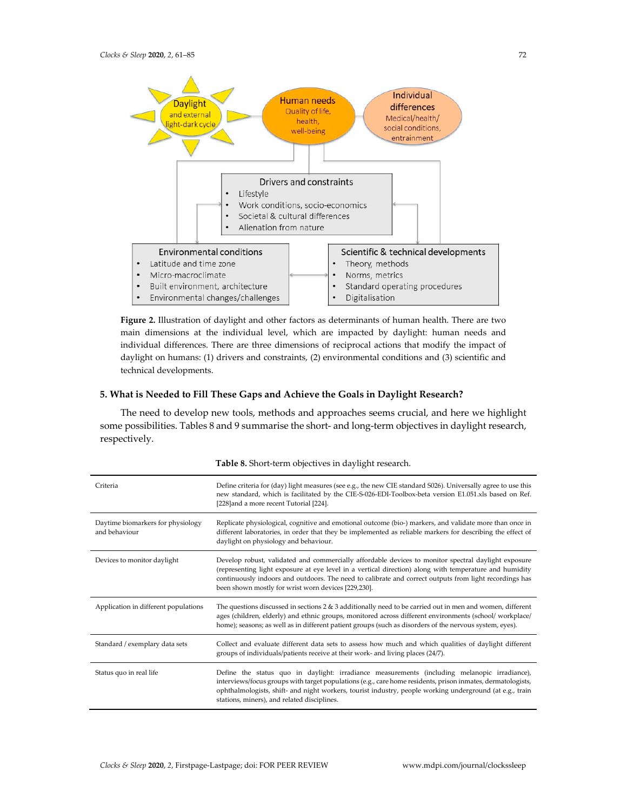

**Figure 2.** Illustration of daylight and other factors as determinants of human health. There are two main dimensions at the individual level, which are impacted by daylight: human needs and individual differences. There are three dimensions of reciprocal actions that modify the impact of daylight on humans: (1) drivers and constraints, (2) environmental conditions and (3) scientific and technical developments.

# **5. What is Needed to Fill These Gaps and Achieve the Goals in Daylight Research?**

The need to develop new tools, methods and approaches seems crucial, and here we highlight some possibilities. Tables 8 and 9 summarise the short- and long-term objectives in daylight research, respectively.

| Criteria                                           | Define criteria for (day) light measures (see e.g., the new CIE standard S026). Universally agree to use this<br>new standard, which is facilitated by the CIE-S-026-EDI-Toolbox-beta version E1.051.xls based on Ref.<br>[228] and a more recent Tutorial [224].                                                                                                              |
|----------------------------------------------------|--------------------------------------------------------------------------------------------------------------------------------------------------------------------------------------------------------------------------------------------------------------------------------------------------------------------------------------------------------------------------------|
| Daytime biomarkers for physiology<br>and behaviour | Replicate physiological, cognitive and emotional outcome (bio-) markers, and validate more than once in<br>different laboratories, in order that they be implemented as reliable markers for describing the effect of<br>daylight on physiology and behaviour.                                                                                                                 |
| Devices to monitor daylight                        | Develop robust, validated and commercially affordable devices to monitor spectral daylight exposure<br>(representing light exposure at eye level in a vertical direction) along with temperature and humidity<br>continuously indoors and outdoors. The need to calibrate and correct outputs from light recordings has<br>been shown mostly for wrist worn devices [229,230]. |
| Application in different populations               | The questions discussed in sections $2 \& 3$ additionally need to be carried out in men and women, different<br>ages (children, elderly) and ethnic groups, monitored across different environments (school/workplace/<br>home); seasons; as well as in different patient groups (such as disorders of the nervous system, eyes).                                              |
| Standard / exemplary data sets                     | Collect and evaluate different data sets to assess how much and which qualities of daylight different<br>groups of individuals/patients receive at their work- and living places (24/7).                                                                                                                                                                                       |
| Status quo in real life                            | Define the status quo in daylight: irradiance measurements (including melanopic irradiance),<br>interviews/focus groups with target populations (e.g., care home residents, prison inmates, dermatologists,<br>ophthalmologists, shift- and night workers, tourist industry, people working underground (at e.g., train<br>stations, miners), and related disciplines.         |

**Table 8.** Short-term objectives in daylight research.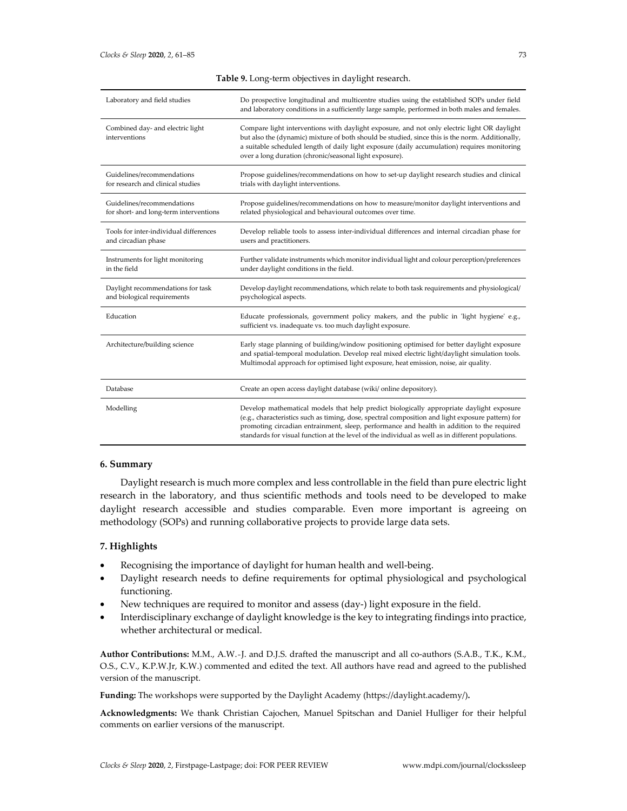| Laboratory and field studies                                         | Do prospective longitudinal and multicentre studies using the established SOPs under field<br>and laboratory conditions in a sufficiently large sample, performed in both males and females.                                                                                                                                                                                                     |
|----------------------------------------------------------------------|--------------------------------------------------------------------------------------------------------------------------------------------------------------------------------------------------------------------------------------------------------------------------------------------------------------------------------------------------------------------------------------------------|
| Combined day- and electric light<br>interventions                    | Compare light interventions with daylight exposure, and not only electric light OR daylight<br>but also the (dynamic) mixture of both should be studied, since this is the norm. Additionally,<br>a suitable scheduled length of daily light exposure (daily accumulation) requires monitoring<br>over a long duration (chronic/seasonal light exposure).                                        |
| Guidelines/recommendations<br>for research and clinical studies      | Propose guidelines/recommendations on how to set-up daylight research studies and clinical<br>trials with daylight interventions.                                                                                                                                                                                                                                                                |
| Guidelines/recommendations<br>for short- and long-term interventions | Propose guidelines/recommendations on how to measure/monitor daylight interventions and<br>related physiological and behavioural outcomes over time.                                                                                                                                                                                                                                             |
| Tools for inter-individual differences<br>and circadian phase        | Develop reliable tools to assess inter-individual differences and internal circadian phase for<br>users and practitioners.                                                                                                                                                                                                                                                                       |
| Instruments for light monitoring<br>in the field                     | Further validate instruments which monitor individual light and colour perception/preferences<br>under daylight conditions in the field.                                                                                                                                                                                                                                                         |
| Daylight recommendations for task<br>and biological requirements     | Develop daylight recommendations, which relate to both task requirements and physiological/<br>psychological aspects.                                                                                                                                                                                                                                                                            |
| Education                                                            | Educate professionals, government policy makers, and the public in 'light hygiene' e.g.,<br>sufficient vs. inadequate vs. too much daylight exposure.                                                                                                                                                                                                                                            |
| Architecture/building science                                        | Early stage planning of building/window positioning optimised for better daylight exposure<br>and spatial-temporal modulation. Develop real mixed electric light/daylight simulation tools.<br>Multimodal approach for optimised light exposure, heat emission, noise, air quality.                                                                                                              |
| Database                                                             | Create an open access daylight database (wiki/online depository).                                                                                                                                                                                                                                                                                                                                |
| Modelling                                                            | Develop mathematical models that help predict biologically appropriate daylight exposure<br>(e.g., characteristics such as timing, dose, spectral composition and light exposure pattern) for<br>promoting circadian entrainment, sleep, performance and health in addition to the required<br>standards for visual function at the level of the individual as well as in different populations. |

## **Table 9.** Long-term objectives in daylight research.

## **6. Summary**

Daylight research is much more complex and less controllable in the field than pure electric light research in the laboratory, and thus scientific methods and tools need to be developed to make daylight research accessible and studies comparable. Even more important is agreeing on methodology (SOPs) and running collaborative projects to provide large data sets.

# **7. Highlights**

- Recognising the importance of daylight for human health and well-being.
- Daylight research needs to define requirements for optimal physiological and psychological functioning.
- New techniques are required to monitor and assess (day-) light exposure in the field.
- Interdisciplinary exchange of daylight knowledge is the key to integrating findings into practice, whether architectural or medical.

**Author Contributions:** M.M., A.W.-J. and D.J.S. drafted the manuscript and all co-authors (S.A.B., T.K., K.M., O.S., C.V., K.P.W.Jr, K.W.) commented and edited the text. All authors have read and agreed to the published version of the manuscript.

**Funding:** The workshops were supported by the Daylight Academy (https://daylight.academy/)**.**

**Acknowledgments:** We thank Christian Cajochen, Manuel Spitschan and Daniel Hulliger for their helpful comments on earlier versions of the manuscript.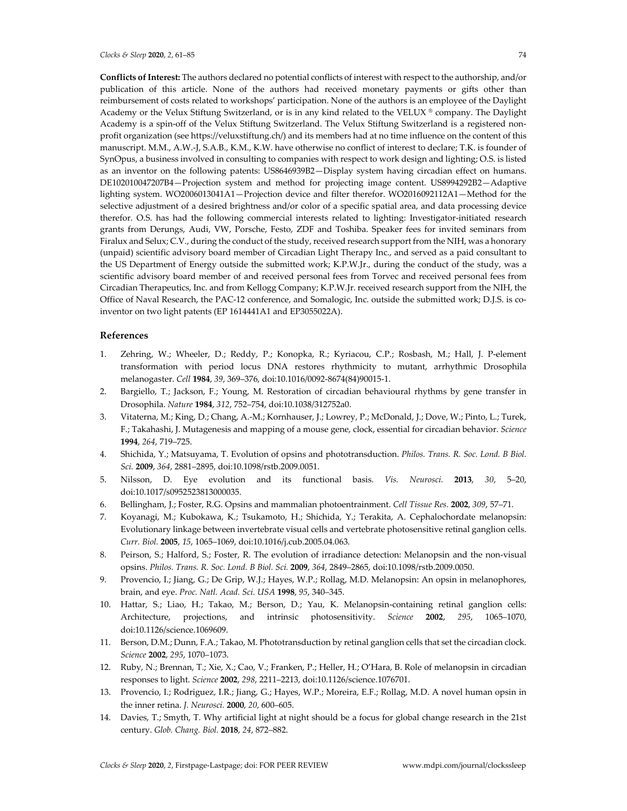*Clocks & Sleep* **2020**, *2*, 61–85 74

**Conflicts of Interest:** The authors declared no potential conflicts of interest with respect to the authorship, and/or publication of this article. None of the authors had received monetary payments or gifts other than reimbursement of costs related to workshops' participation. None of the authors is an employee of the Daylight Academy or the Velux Stiftung Switzerland, or is in any kind related to the VELUX ® company. The Daylight Academy is a spin-off of the Velux Stiftung Switzerland. The Velux Stiftung Switzerland is a registered nonprofit organization (see https://veluxstiftung.ch/) and its members had at no time influence on the content of this manuscript. M.M., A.W.-J, S.A.B., K.M., K.W. have otherwise no conflict of interest to declare; T.K. is founder of SynOpus, a business involved in consulting to companies with respect to work design and lighting; O.S. is listed as an inventor on the following patents: US8646939B2—Display system having circadian effect on humans. DE102010047207B4—Projection system and method for projecting image content. US8994292B2—Adaptive lighting system. WO2006013041A1—Projection device and filter therefor. WO2016092112A1—Method for the selective adjustment of a desired brightness and/or color of a specific spatial area, and data processing device therefor. O.S. has had the following commercial interests related to lighting: Investigator-initiated research grants from Derungs, Audi, VW, Porsche, Festo, ZDF and Toshiba. Speaker fees for invited seminars from Firalux and Selux; C.V., during the conduct of the study, received research support from the NIH, was a honorary (unpaid) scientific advisory board member of Circadian Light Therapy Inc., and served as a paid consultant to the US Department of Energy outside the submitted work; K.P.W.Jr., during the conduct of the study, was a scientific advisory board member of and received personal fees from Torvec and received personal fees from Circadian Therapeutics, Inc. and from Kellogg Company; K.P.W.Jr. received research support from the NIH, the Office of Naval Research, the PAC-12 conference, and Somalogic, Inc. outside the submitted work; D.J.S. is coinventor on two light patents (EP 1614441A1 and EP3055022A).

# **References**

- 1. Zehring, W.; Wheeler, D.; Reddy, P.; Konopka, R.; Kyriacou, C.P.; Rosbash, M.; Hall, J. P-element transformation with period locus DNA restores rhythmicity to mutant, arrhythmic Drosophila melanogaster. *Cell* **1984**, *39*, 369–376, doi:10.1016/0092-8674(84)90015-1.
- 2. Bargiello, T.; Jackson, F.; Young, M. Restoration of circadian behavioural rhythms by gene transfer in Drosophila. *Nature* **1984**, *312*, 752–754, doi:10.1038/312752a0.
- 3. Vitaterna, M.; King, D.; Chang, A.-M.; Kornhauser, J.; Lowrey, P.; McDonald, J.; Dove, W.; Pinto, L.; Turek, F.; Takahashi, J. Mutagenesis and mapping of a mouse gene, clock, essential for circadian behavior. *Science*  **1994**, *264*, 719–725.
- 4. Shichida, Y.; Matsuyama, T. Evolution of opsins and phototransduction. *Philos. Trans. R. Soc. Lond. B Biol. Sci.* **2009**, *364*, 2881–2895, doi:10.1098/rstb.2009.0051.
- 5. Nilsson, D. Eye evolution and its functional basis. *Vis. Neurosci.* **2013**, *30*, 5–20, doi:10.1017/s0952523813000035.
- 6. Bellingham, J.; Foster, R.G. Opsins and mammalian photoentrainment. *Cell Tissue Res.* **2002**, *309*, 57–71.
- 7. Koyanagi, M.; Kubokawa, K.; Tsukamoto, H.; Shichida, Y.; Terakita, A. Cephalochordate melanopsin: Evolutionary linkage between invertebrate visual cells and vertebrate photosensitive retinal ganglion cells. *Curr. Biol.* **2005**, *15*, 1065–1069, doi:10.1016/j.cub.2005.04.063.
- 8. Peirson, S.; Halford, S.; Foster, R. The evolution of irradiance detection: Melanopsin and the non-visual opsins. *Philos. Trans. R. Soc. Lond. B Biol. Sci.* **2009**, *364*, 2849–2865, doi:10.1098/rstb.2009.0050.
- 9. Provencio, I.; Jiang, G.; De Grip, W.J.; Hayes, W.P.; Rollag, M.D. Melanopsin: An opsin in melanophores, brain, and eye. *Proc. Natl. Acad. Sci. USA* **1998**, *95*, 340–345.
- 10. Hattar, S.; Liao, H.; Takao, M.; Berson, D.; Yau, K. Melanopsin-containing retinal ganglion cells: Architecture, projections, and intrinsic photosensitivity. *Science* **2002**, *295*, 1065–1070, doi:10.1126/science.1069609.
- 11. Berson, D.M.; Dunn, F.A.; Takao, M. Phototransduction by retinal ganglion cells that set the circadian clock. *Science* **2002**, *295*, 1070–1073.
- 12. Ruby, N.; Brennan, T.; Xie, X.; Cao, V.; Franken, P.; Heller, H.; O'Hara, B. Role of melanopsin in circadian responses to light. *Science* **2002**, *298*, 2211–2213, doi:10.1126/science.1076701.
- 13. Provencio, I.; Rodriguez, I.R.; Jiang, G.; Hayes, W.P.; Moreira, E.F.; Rollag, M.D. A novel human opsin in the inner retina. *J. Neurosci.* **2000**, *20*, 600–605.
- 14. Davies, T.; Smyth, T. Why artificial light at night should be a focus for global change research in the 21st century. *Glob. Chang. Biol.* **2018**, *24*, 872–882.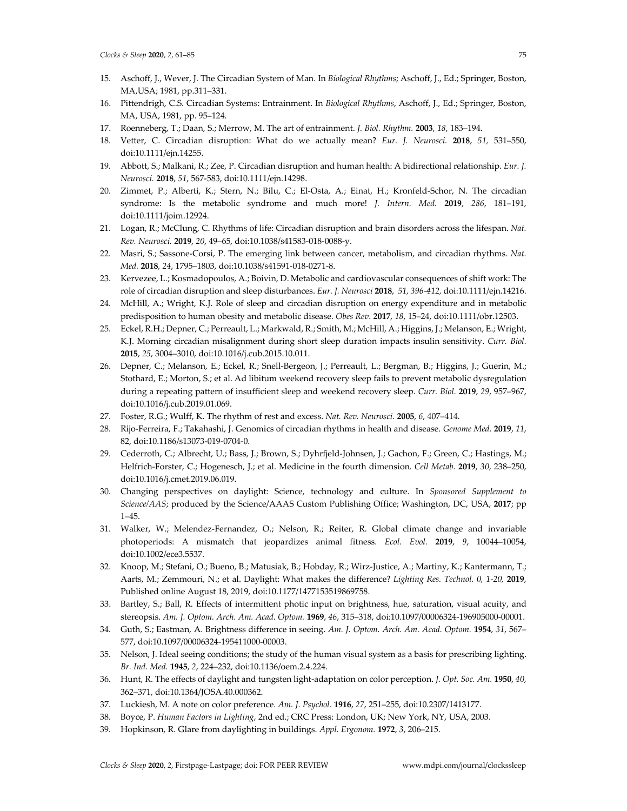- 15. Aschoff, J., Wever, J. The Circadian System of Man. In *Biological Rhythms*; Aschoff, J., Ed.; Springer, Boston, MA,USA; 1981, pp.311–331.
- 16. Pittendrigh, C.S. Circadian Systems: Entrainment. In *Biological Rhythms*, Aschoff, J., Ed.; Springer, Boston, MA, USA, 1981, pp. 95–124.
- 17. Roenneberg, T.; Daan, S.; Merrow, M. The art of entrainment. *J. Biol. Rhythm.* **2003**, *18*, 183–194.
- 18. Vetter, C. Circadian disruption: What do we actually mean? *Eur. J. Neurosci.* **2018**, *51,* 531–550, doi:10.1111/ejn.14255.
- 19. Abbott, S.; Malkani, R.; Zee, P. Circadian disruption and human health: A bidirectional relationship. *Eur. J. Neurosci.* **2018**, *51*, 567-583, doi:10.1111/ejn.14298.
- 20. Zimmet, P.; Alberti, K.; Stern, N.; Bilu, C.; El-Osta, A.; Einat, H.; Kronfeld-Schor, N. The circadian syndrome: Is the metabolic syndrome and much more! *J. Intern. Med.* **2019**, *286*, 181–191, doi:10.1111/joim.12924.
- 21. Logan, R.; McClung, C. Rhythms of life: Circadian disruption and brain disorders across the lifespan. *Nat. Rev. Neurosci.* **2019**, *20*, 49–65, doi:10.1038/s41583-018-0088-y.
- 22. Masri, S.; Sassone-Corsi, P. The emerging link between cancer, metabolism, and circadian rhythms. *Nat. Med.* **2018**, *24*, 1795–1803, doi:10.1038/s41591-018-0271-8.
- 23. Kervezee, L.; Kosmadopoulos, A.; Boivin, D. Metabolic and cardiovascular consequences of shift work: The role of circadian disruption and sleep disturbances. *Eur. J. Neurosci* **2018**, *51, 396-412,* doi:10.1111/ejn.14216.
- 24. McHill, A.; Wright, K.J. Role of sleep and circadian disruption on energy expenditure and in metabolic predisposition to human obesity and metabolic disease. *Obes Rev*. **2017**, *18*, 15–24, doi:10.1111/obr.12503.
- 25. Eckel, R.H.; Depner, C.; Perreault, L.; Markwald, R.; Smith, M.; McHill, A.; Higgins, J.; Melanson, E.; Wright, K.J. Morning circadian misalignment during short sleep duration impacts insulin sensitivity. *Curr. Biol.*  **2015**, *25*, 3004–3010, doi:10.1016/j.cub.2015.10.011.
- 26. Depner, C.; Melanson, E.; Eckel, R.; Snell-Bergeon, J.; Perreault, L.; Bergman, B.; Higgins, J.; Guerin, M.; Stothard, E.; Morton, S.; et al. Ad libitum weekend recovery sleep fails to prevent metabolic dysregulation during a repeating pattern of insufficient sleep and weekend recovery sleep. *Curr. Biol.* **2019**, *29*, 957–967, doi:10.1016/j.cub.2019.01.069.
- 27. Foster, R.G.; Wulff, K. The rhythm of rest and excess. *Nat. Rev. Neurosci.* **2005**, *6*, 407–414.
- 28. Rijo-Ferreira, F.; Takahashi, J. Genomics of circadian rhythms in health and disease. *Genome Med.* **2019**, *11*, 82, doi:10.1186/s13073-019-0704-0.
- 29. Cederroth, C.; Albrecht, U.; Bass, J.; Brown, S.; Dyhrfjeld-Johnsen, J.; Gachon, F.; Green, C.; Hastings, M.; Helfrich-Forster, C.; Hogenesch, J.; et al. Medicine in the fourth dimension. *Cell Metab.* **2019**, *30*, 238–250, doi:10.1016/j.cmet.2019.06.019.
- 30. Changing perspectives on daylight: Science, technology and culture. In *Sponsored Supplement to Science/AAS*; produced by the Science/AAAS Custom Publishing Office; Washington, DC, USA, **2017**; pp 1–45.
- 31. Walker, W.; Melendez-Fernandez, O.; Nelson, R.; Reiter, R. Global climate change and invariable photoperiods: A mismatch that jeopardizes animal fitness. *Ecol. Evol.* **2019**, *9*, 10044–10054, doi:10.1002/ece3.5537.
- 32. Knoop, M.; Stefani, O.; Bueno, B.; Matusiak, B.; Hobday, R.; Wirz-Justice, A.; Martiny, K.; Kantermann, T.; Aarts, M.; Zemmouri, N.; et al. Daylight: What makes the difference? *Lighting Res. Technol. 0, 1-20,* **2019**, Published online August 18, 2019, doi:10.1177/1477153519869758.
- 33. Bartley, S.; Ball, R. Effects of intermittent photic input on brightness, hue, saturation, visual acuity, and stereopsis. *Am. J. Optom. Arch. Am. Acad. Optom.* **1969**, *46*, 315–318, doi:10.1097/00006324-196905000-00001.
- 34. Guth, S.; Eastman, A. Brightness difference in seeing. *Am. J. Optom. Arch. Am. Acad. Optom.* **1954**, *31*, 567– 577, doi:10.1097/00006324-195411000-00003.
- 35. Nelson, J. Ideal seeing conditions; the study of the human visual system as a basis for prescribing lighting. *Br. Ind. Med.* **1945**, *2*, 224–232, doi:10.1136/oem.2.4.224.
- 36. Hunt, R. The effects of daylight and tungsten light-adaptation on color perception. *J. Opt. Soc. Am.* **1950**, *40*, 362–371, doi:10.1364/JOSA.40.000362.
- 37. Luckiesh, M. A note on color preference. *Am. J. Psychol*. **1916**, *27*, 251–255, doi:10.2307/1413177.
- 38. Boyce, P. *Human Factors in Lighting*, 2nd ed.; CRC Press: London, UK; New York, NY, USA, 2003.
- 39. Hopkinson, R. Glare from daylighting in buildings. *Appl. Ergonom.* **1972**, *3*, 206–215.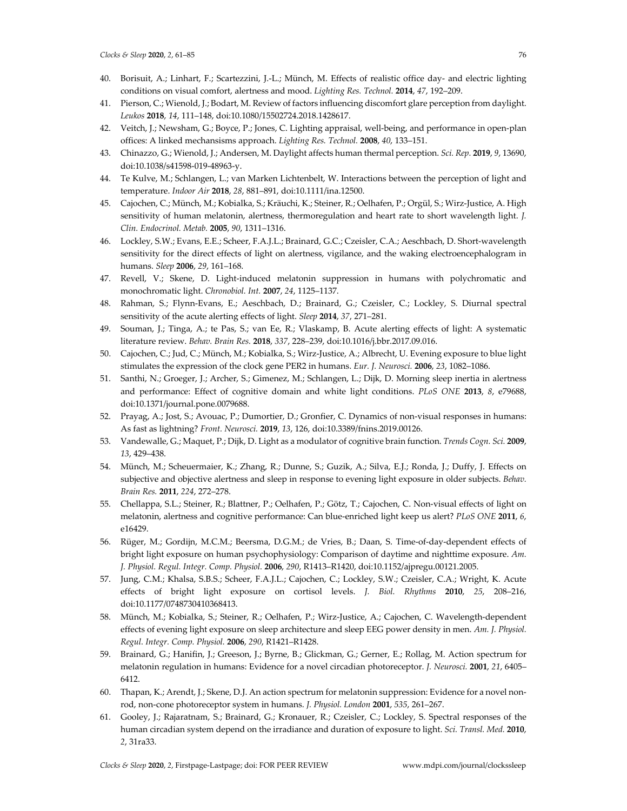- 40. Borisuit, A.; Linhart, F.; Scartezzini, J.-L.; Münch, M. Effects of realistic office day- and electric lighting conditions on visual comfort, alertness and mood. *Lighting Res. Technol.* **2014**, *47*, 192–209.
- 41. Pierson, C.; Wienold, J.; Bodart, M. Review of factors influencing discomfort glare perception from daylight. *Leukos* **2018**, *14*, 111–148, doi:10.1080/15502724.2018.1428617.
- 42. Veitch, J.; Newsham, G.; Boyce, P.; Jones, C. Lighting appraisal, well-being, and performance in open-plan offices: A linked mechansisms approach. *Lighting Res. Technol.* **2008**, *40*, 133–151.
- 43. Chinazzo, G.; Wienold, J.; Andersen, M. Daylight affects human thermal perception. *Sci. Rep.* **2019**, *9*, 13690, doi:10.1038/s41598-019-48963-y.
- 44. Te Kulve, M.; Schlangen, L.; van Marken Lichtenbelt, W. Interactions between the perception of light and temperature. *Indoor Air* **2018**, *28*, 881–891, doi:10.1111/ina.12500.
- 45. Cajochen, C.; Münch, M.; Kobialka, S.; Kräuchi, K.; Steiner, R.; Oelhafen, P.; Orgül, S.; Wirz-Justice, A. High sensitivity of human melatonin, alertness, thermoregulation and heart rate to short wavelength light. *J. Clin. Endocrinol. Metab.* **2005**, *90*, 1311–1316.
- 46. Lockley, S.W.; Evans, E.E.; Scheer, F.A.J.L.; Brainard, G.C.; Czeisler, C.A.; Aeschbach, D. Short-wavelength sensitivity for the direct effects of light on alertness, vigilance, and the waking electroencephalogram in humans. *Sleep* **2006**, *29*, 161–168.
- 47. Revell, V.; Skene, D. Light-induced melatonin suppression in humans with polychromatic and monochromatic light. *Chronobiol. Int.* **2007**, *24*, 1125–1137.
- 48. Rahman, S.; Flynn-Evans, E.; Aeschbach, D.; Brainard, G.; Czeisler, C.; Lockley, S. Diurnal spectral sensitivity of the acute alerting effects of light. *Sleep* **2014**, *37*, 271–281.
- 49. Souman, J.; Tinga, A.; te Pas, S.; van Ee, R.; Vlaskamp, B. Acute alerting effects of light: A systematic literature review. *Behav. Brain Res.* **2018**, *337*, 228–239, doi:10.1016/j.bbr.2017.09.016.
- 50. Cajochen, C.; Jud, C.; Münch, M.; Kobialka, S.; Wirz-Justice, A.; Albrecht, U. Evening exposure to blue light stimulates the expression of the clock gene PER2 in humans. *Eur. J. Neurosci.* **2006**, *23*, 1082–1086.
- 51. Santhi, N.; Groeger, J.; Archer, S.; Gimenez, M.; Schlangen, L.; Dijk, D. Morning sleep inertia in alertness and performance: Effect of cognitive domain and white light conditions. *PLoS ONE* **2013**, *8*, e79688, doi:10.1371/journal.pone.0079688.
- 52. Prayag, A.; Jost, S.; Avouac, P.; Dumortier, D.; Gronfier, C. Dynamics of non-visual responses in humans: As fast as lightning? *Front. Neurosci.* **2019**, *13*, 126, doi:10.3389/fnins.2019.00126.
- 53. Vandewalle, G.; Maquet, P.; Dijk, D. Light as a modulator of cognitive brain function. *Trends Cogn. Sci.* **2009**, *13*, 429–438.
- 54. Münch, M.; Scheuermaier, K.; Zhang, R.; Dunne, S.; Guzik, A.; Silva, E.J.; Ronda, J.; Duffy, J. Effects on subjective and objective alertness and sleep in response to evening light exposure in older subjects. *Behav. Brain Res.* **2011**, *224*, 272–278.
- 55. Chellappa, S.L.; Steiner, R.; Blattner, P.; Oelhafen, P.; Götz, T.; Cajochen, C. Non-visual effects of light on melatonin, alertness and cognitive performance: Can blue-enriched light keep us alert? *PLoS ONE* **2011**, *6*, e16429.
- 56. Rüger, M.; Gordijn, M.C.M.; Beersma, D.G.M.; de Vries, B.; Daan, S. Time-of-day-dependent effects of bright light exposure on human psychophysiology: Comparison of daytime and nighttime exposure. *Am. J. Physiol. Regul. Integr. Comp. Physiol.* **2006**, *290*, R1413–R1420, doi:10.1152/ajpregu.00121.2005.
- 57. Jung, C.M.; Khalsa, S.B.S.; Scheer, F.A.J.L.; Cajochen, C.; Lockley, S.W.; Czeisler, C.A.; Wright, K. Acute effects of bright light exposure on cortisol levels. *J. Biol. Rhythms* **2010**, *25*, 208–216, doi:10.1177/0748730410368413.
- 58. Münch, M.; Kobialka, S.; Steiner, R.; Oelhafen, P.; Wirz-Justice, A.; Cajochen, C. Wavelength-dependent effects of evening light exposure on sleep architecture and sleep EEG power density in men. *Am. J. Physiol. Regul. Integr. Comp. Physiol.* **2006**, *290*, R1421–R1428.
- 59. Brainard, G.; Hanifin, J.; Greeson, J.; Byrne, B.; Glickman, G.; Gerner, E.; Rollag, M. Action spectrum for melatonin regulation in humans: Evidence for a novel circadian photoreceptor. *J. Neurosci.* **2001**, *21*, 6405– 6412.
- 60. Thapan, K.; Arendt, J.; Skene, D.J. An action spectrum for melatonin suppression: Evidence for a novel nonrod, non-cone photoreceptor system in humans. *J. Physiol. London* **2001**, *535*, 261–267.
- 61. Gooley, J.; Rajaratnam, S.; Brainard, G.; Kronauer, R.; Czeisler, C.; Lockley, S. Spectral responses of the human circadian system depend on the irradiance and duration of exposure to light. *Sci. Transl. Med.* **2010**, *2*, 31ra33.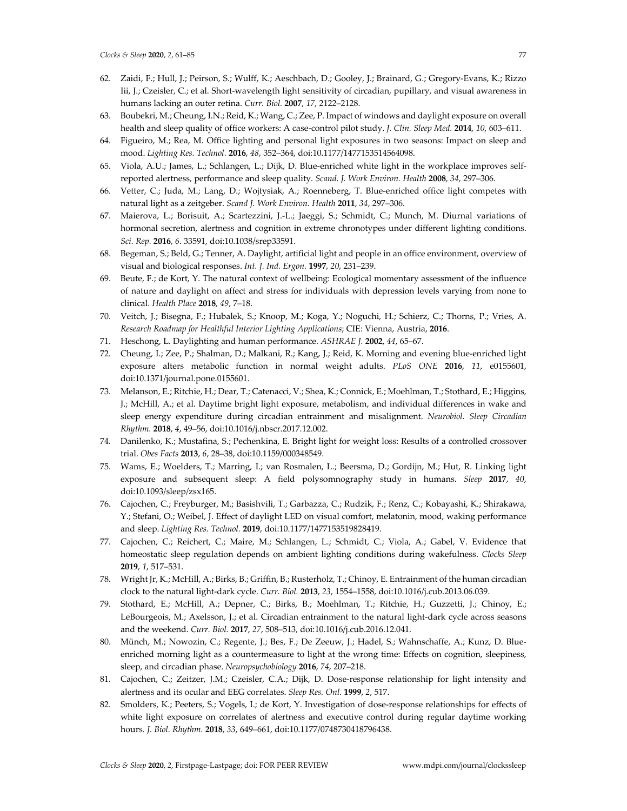- 62. Zaidi, F.; Hull, J.; Peirson, S.; Wulff, K.; Aeschbach, D.; Gooley, J.; Brainard, G.; Gregory-Evans, K.; Rizzo Iii, J.; Czeisler, C.; et al. Short-wavelength light sensitivity of circadian, pupillary, and visual awareness in humans lacking an outer retina. *Curr. Biol.* **2007**, *17*, 2122–2128.
- 63. Boubekri, M.; Cheung, I.N.; Reid, K.; Wang, C.; Zee, P. Impact of windows and daylight exposure on overall health and sleep quality of office workers: A case-control pilot study. *J. Clin. Sleep Med.* **2014**, *10*, 603–611.
- 64. Figueiro, M.; Rea, M. Office lighting and personal light exposures in two seasons: Impact on sleep and mood. *Lighting Res. Technol.* **2016**, *48*, 352–364, doi:10.1177/1477153514564098.
- 65. Viola, A.U.; James, L.; Schlangen, L.; Dijk, D. Blue-enriched white light in the workplace improves selfreported alertness, performance and sleep quality. *Scand. J. Work Environ. Health* **2008**, *34*, 297–306.
- 66. Vetter, C.; Juda, M.; Lang, D.; Wojtysiak, A.; Roenneberg, T. Blue-enriched office light competes with natural light as a zeitgeber. *Scand J. Work Environ. Health* **2011**, *34*, 297–306.
- 67. Maierova, L.; Borisuit, A.; Scartezzini, J.-L.; Jaeggi, S.; Schmidt, C.; Munch, M. Diurnal variations of hormonal secretion, alertness and cognition in extreme chronotypes under different lighting conditions. *Sci. Rep.* **2016**, *6*. 33591, doi:10.1038/srep33591.
- 68. Begeman, S.; Beld, G.; Tenner, A. Daylight, artificial light and people in an office environment, overview of visual and biological responses. *Int. J. Ind. Ergon.* **1997**, *20*, 231–239.
- 69. Beute, F.; de Kort, Y. The natural context of wellbeing: Ecological momentary assessment of the influence of nature and daylight on affect and stress for individuals with depression levels varying from none to clinical. *Health Place* **2018**, *49*, 7–18.
- 70. Veitch, J.; Bisegna, F.; Hubalek, S.; Knoop, M.; Koga, Y.; Noguchi, H.; Schierz, C.; Thorns, P.; Vries, A. *Research Roadmap for Healthful Interior Lighting Applications*; CIE: Vienna, Austria, **2016**.
- 71. Heschong, L. Daylighting and human performance. *ASHRAE J.* **2002**, *44*, 65–67.
- 72. Cheung, I.; Zee, P.; Shalman, D.; Malkani, R.; Kang, J.; Reid, K. Morning and evening blue-enriched light exposure alters metabolic function in normal weight adults. *PLoS ONE* **2016**, *11*, e0155601, doi:10.1371/journal.pone.0155601.
- 73. Melanson, E.; Ritchie, H.; Dear, T.; Catenacci, V.; Shea, K.; Connick, E.; Moehlman, T.; Stothard, E.; Higgins, J.; McHill, A.; et al. Daytime bright light exposure, metabolism, and individual differences in wake and sleep energy expenditure during circadian entrainment and misalignment. *Neurobiol. Sleep Circadian Rhythm.* **2018**, *4*, 49–56, doi:10.1016/j.nbscr.2017.12.002.
- 74. Danilenko, K.; Mustafina, S.; Pechenkina, E. Bright light for weight loss: Results of a controlled crossover trial. *Obes Facts* **2013**, *6*, 28–38, doi:10.1159/000348549.
- 75. Wams, E.; Woelders, T.; Marring, I.; van Rosmalen, L.; Beersma, D.; Gordijn, M.; Hut, R. Linking light exposure and subsequent sleep: A field polysomnography study in humans. *Sleep* **2017**, *40*, doi:10.1093/sleep/zsx165.
- 76. Cajochen, C.; Freyburger, M.; Basishvili, T.; Garbazza, C.; Rudzik, F.; Renz, C.; Kobayashi, K.; Shirakawa, Y.; Stefani, O.; Weibel, J. Effect of daylight LED on visual comfort, melatonin, mood, waking performance and sleep. *Lighting Res. Technol.* **2019**, doi:10.1177/1477153519828419.
- 77. Cajochen, C.; Reichert, C.; Maire, M.; Schlangen, L.; Schmidt, C.; Viola, A.; Gabel, V. Evidence that homeostatic sleep regulation depends on ambient lighting conditions during wakefulness. *Clocks Sleep*  **2019**, *1*, 517–531.
- 78. Wright Jr, K.; McHill, A.; Birks, B.; Griffin, B.; Rusterholz, T.; Chinoy, E. Entrainment of the human circadian clock to the natural light-dark cycle. *Curr. Biol.* **2013**, *23*, 1554–1558, doi:10.1016/j.cub.2013.06.039.
- 79. Stothard, E.; McHill, A.; Depner, C.; Birks, B.; Moehlman, T.; Ritchie, H.; Guzzetti, J.; Chinoy, E.; LeBourgeois, M.; Axelsson, J.; et al. Circadian entrainment to the natural light-dark cycle across seasons and the weekend. *Curr. Biol.* **2017**, *27*, 508–513, doi:10.1016/j.cub.2016.12.041.
- 80. Münch, M.; Nowozin, C.; Regente, J.; Bes, F.; De Zeeuw, J.; Hadel, S.; Wahnschaffe, A.; Kunz, D. Blueenriched morning light as a countermeasure to light at the wrong time: Effects on cognition, sleepiness, sleep, and circadian phase. *Neuropsychobiology* **2016**, *74*, 207–218.
- 81. Cajochen, C.; Zeitzer, J.M.; Czeisler, C.A.; Dijk, D. Dose-response relationship for light intensity and alertness and its ocular and EEG correlates. *Sleep Res. Onl.* **1999**, *2*, 517.
- 82. Smolders, K.; Peeters, S.; Vogels, I.; de Kort, Y. Investigation of dose-response relationships for effects of white light exposure on correlates of alertness and executive control during regular daytime working hours. *J. Biol. Rhythm.* **2018**, *33*, 649–661, doi:10.1177/0748730418796438.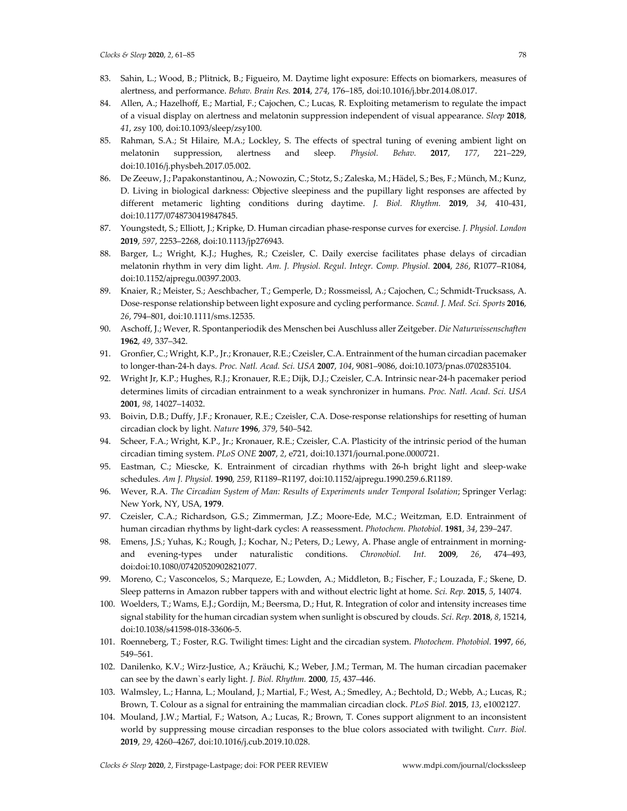- 83. Sahin, L.; Wood, B.; Plitnick, B.; Figueiro, M. Daytime light exposure: Effects on biomarkers, measures of alertness, and performance. *Behav. Brain Res.* **2014**, *274*, 176–185, doi:10.1016/j.bbr.2014.08.017.
- 84. Allen, A.; Hazelhoff, E.; Martial, F.; Cajochen, C.; Lucas, R. Exploiting metamerism to regulate the impact of a visual display on alertness and melatonin suppression independent of visual appearance. *Sleep* **2018**, *41*, zsy 100, doi:10.1093/sleep/zsy100.
- 85. Rahman, S.A.; St Hilaire, M.A.; Lockley, S. The effects of spectral tuning of evening ambient light on melatonin suppression, alertness and sleep. *Physiol. Behav.* **2017**, *177*, 221–229, doi:10.1016/j.physbeh.2017.05.002.
- 86. De Zeeuw, J.; Papakonstantinou, A.; Nowozin, C.; Stotz, S.; Zaleska, M.; Hädel, S.; Bes, F.; Münch, M.; Kunz, D. Living in biological darkness: Objective sleepiness and the pupillary light responses are affected by different metameric lighting conditions during daytime. *J. Biol. Rhythm.* **2019**, *34,* 410-431, doi:10.1177/0748730419847845.
- 87. Youngstedt, S.; Elliott, J.; Kripke, D. Human circadian phase-response curves for exercise. *J. Physiol. London*  **2019**, *597*, 2253–2268, doi:10.1113/jp276943.
- 88. Barger, L.; Wright, K.J.; Hughes, R.; Czeisler, C. Daily exercise facilitates phase delays of circadian melatonin rhythm in very dim light. *Am. J. Physiol. Regul. Integr. Comp. Physiol.* **2004**, *286*, R1077–R1084, doi:10.1152/ajpregu.00397.2003.
- 89. Knaier, R.; Meister, S.; Aeschbacher, T.; Gemperle, D.; Rossmeissl, A.; Cajochen, C.; Schmidt-Trucksass, A. Dose-response relationship between light exposure and cycling performance. *Scand. J. Med. Sci. Sports* **2016**, *26*, 794–801, doi:10.1111/sms.12535.
- 90. Aschoff, J.; Wever, R. Spontanperiodik des Menschen bei Auschluss aller Zeitgeber. *Die Naturwissenschaften*  **1962**, *49*, 337–342.
- 91. Gronfier, C.; Wright, K.P., Jr.; Kronauer, R.E.; Czeisler, C.A. Entrainment of the human circadian pacemaker to longer-than-24-h days. *Proc. Natl. Acad. Sci. USA* **2007**, *104*, 9081–9086, doi:10.1073/pnas.0702835104.
- 92. Wright Jr, K.P.; Hughes, R.J.; Kronauer, R.E.; Dijk, D.J.; Czeisler, C.A. Intrinsic near-24-h pacemaker period determines limits of circadian entrainment to a weak synchronizer in humans. *Proc. Natl. Acad. Sci. USA*  **2001**, *98*, 14027–14032.
- 93. Boivin, D.B.; Duffy, J.F.; Kronauer, R.E.; Czeisler, C.A. Dose-response relationships for resetting of human circadian clock by light. *Nature* **1996**, *379*, 540–542.
- 94. Scheer, F.A.; Wright, K.P., Jr.; Kronauer, R.E.; Czeisler, C.A. Plasticity of the intrinsic period of the human circadian timing system. *PLoS ONE* **2007**, *2*, e721, doi:10.1371/journal.pone.0000721.
- 95. Eastman, C.; Miescke, K. Entrainment of circadian rhythms with 26-h bright light and sleep-wake schedules. *Am J. Physiol.* **1990**, *259*, R1189–R1197, doi:10.1152/ajpregu.1990.259.6.R1189.
- 96. Wever, R.A. *The Circadian System of Man: Results of Experiments under Temporal Isolation*; Springer Verlag: New York, NY, USA, **1979**.
- 97. Czeisler, C.A.; Richardson, G.S.; Zimmerman, J.Z.; Moore-Ede, M.C.; Weitzman, E.D. Entrainment of human circadian rhythms by light-dark cycles: A reassessment. *Photochem. Photobiol.* **1981**, *34*, 239–247.
- 98. Emens, J.S.; Yuhas, K.; Rough, J.; Kochar, N.; Peters, D.; Lewy, A. Phase angle of entrainment in morningand evening-types under naturalistic conditions. *Chronobiol. Int.* **2009**, *26*, 474–493, doi:doi:10.1080/07420520902821077.
- 99. Moreno, C.; Vasconcelos, S.; Marqueze, E.; Lowden, A.; Middleton, B.; Fischer, F.; Louzada, F.; Skene, D. Sleep patterns in Amazon rubber tappers with and without electric light at home. *Sci. Rep.* **2015**, *5*, 14074.
- 100. Woelders, T.; Wams, E.J.; Gordijn, M.; Beersma, D.; Hut, R. Integration of color and intensity increases time signal stability for the human circadian system when sunlight is obscured by clouds. *Sci. Rep.* **2018**, *8*, 15214, doi:10.1038/s41598-018-33606-5.
- 101. Roenneberg, T.; Foster, R.G. Twilight times: Light and the circadian system. *Photochem. Photobiol.* **1997**, *66*, 549–561.
- 102. Danilenko, K.V.; Wirz-Justice, A.; Kräuchi, K.; Weber, J.M.; Terman, M. The human circadian pacemaker can see by the dawn`s early light. *J. Biol. Rhythm.* **2000**, *15*, 437–446.
- 103. Walmsley, L.; Hanna, L.; Mouland, J.; Martial, F.; West, A.; Smedley, A.; Bechtold, D.; Webb, A.; Lucas, R.; Brown, T. Colour as a signal for entraining the mammalian circadian clock. *PLoS Biol.* **2015**, *13*, e1002127.
- 104. Mouland, J.W.; Martial, F.; Watson, A.; Lucas, R.; Brown, T. Cones support alignment to an inconsistent world by suppressing mouse circadian responses to the blue colors associated with twilight. *Curr. Biol.*  **2019**, *29*, 4260–4267, doi:10.1016/j.cub.2019.10.028.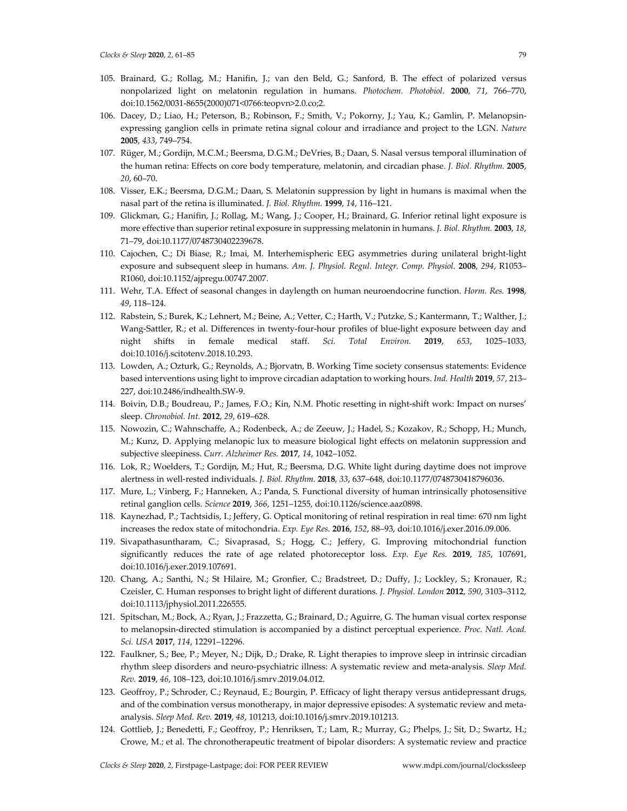- 105. Brainard, G.; Rollag, M.; Hanifin, J.; van den Beld, G.; Sanford, B. The effect of polarized versus nonpolarized light on melatonin regulation in humans. *Photochem. Photobiol.* **2000**, *71*, 766–770, doi:10.1562/0031-8655(2000)071<0766:teopvn>2.0.co;2.
- 106. Dacey, D.; Liao, H.; Peterson, B.; Robinson, F.; Smith, V.; Pokorny, J.; Yau, K.; Gamlin, P. Melanopsinexpressing ganglion cells in primate retina signal colour and irradiance and project to the LGN. *Nature*  **2005**, *433*, 749–754.
- 107. Rüger, M.; Gordijn, M.C.M.; Beersma, D.G.M.; DeVries, B.; Daan, S. Nasal versus temporal illumination of the human retina: Effects on core body temperature, melatonin, and circadian phase. *J. Biol. Rhythm.* **2005**, *20*, 60–70.
- 108. Visser, E.K.; Beersma, D.G.M.; Daan, S. Melatonin suppression by light in humans is maximal when the nasal part of the retina is illuminated. *J. Biol. Rhythm.* **1999**, *14*, 116–121.
- 109. Glickman, G.; Hanifin, J.; Rollag, M.; Wang, J.; Cooper, H.; Brainard, G. Inferior retinal light exposure is more effective than superior retinal exposure in suppressing melatonin in humans. *J. Biol. Rhythm.* **2003**, *18*, 71–79, doi:10.1177/0748730402239678.
- 110. Cajochen, C.; Di Biase, R.; Imai, M. Interhemispheric EEG asymmetries during unilateral bright-light exposure and subsequent sleep in humans. *Am. J. Physiol. Regul. Integr. Comp. Physiol.* **2008**, *294*, R1053– R1060, doi:10.1152/ajpregu.00747.2007.
- 111. Wehr, T.A. Effect of seasonal changes in daylength on human neuroendocrine function. *Horm. Res.* **1998**, *49*, 118–124.
- 112. Rabstein, S.; Burek, K.; Lehnert, M.; Beine, A.; Vetter, C.; Harth, V.; Putzke, S.; Kantermann, T.; Walther, J.; Wang-Sattler, R.; et al. Differences in twenty-four-hour profiles of blue-light exposure between day and night shifts in female medical staff. *Sci. Total Environ.* **2019**, *653*, 1025–1033, doi:10.1016/j.scitotenv.2018.10.293.
- 113. Lowden, A.; Ozturk, G.; Reynolds, A.; Bjorvatn, B. Working Time society consensus statements: Evidence based interventions using light to improve circadian adaptation to working hours. *Ind. Health* **2019**, *57*, 213– 227, doi:10.2486/indhealth.SW-9.
- 114. Boivin, D.B.; Boudreau, P.; James, F.O.; Kin, N.M. Photic resetting in night-shift work: Impact on nurses' sleep. *Chronobiol. Int.* **2012**, *29*, 619–628.
- 115. Nowozin, C.; Wahnschaffe, A.; Rodenbeck, A.; de Zeeuw, J.; Hadel, S.; Kozakov, R.; Schopp, H.; Munch, M.; Kunz, D. Applying melanopic lux to measure biological light effects on melatonin suppression and subjective sleepiness. *Curr. Alzheimer Res.* **2017**, *14*, 1042–1052.
- 116. Lok, R.; Woelders, T.; Gordijn, M.; Hut, R.; Beersma, D.G. White light during daytime does not improve alertness in well-rested individuals. *J. Biol. Rhythm.* **2018**, *33*, 637–648, doi:10.1177/0748730418796036.
- 117. Mure, L.; Vinberg, F.; Hanneken, A.; Panda, S. Functional diversity of human intrinsically photosensitive retinal ganglion cells. *Science* **2019**, *366*, 1251–1255, doi:10.1126/science.aaz0898.
- 118. Kaynezhad, P.; Tachtsidis, I.; Jeffery, G. Optical monitoring of retinal respiration in real time: 670 nm light increases the redox state of mitochondria. *Exp. Eye Res.* **2016**, *152*, 88–93, doi:10.1016/j.exer.2016.09.006.
- 119. Sivapathasuntharam, C.; Sivaprasad, S.; Hogg, C.; Jeffery, G. Improving mitochondrial function significantly reduces the rate of age related photoreceptor loss. *Exp. Eye Res.* **2019**, *185*, 107691, doi:10.1016/j.exer.2019.107691.
- 120. Chang, A.; Santhi, N.; St Hilaire, M.; Gronfier, C.; Bradstreet, D.; Duffy, J.; Lockley, S.; Kronauer, R.; Czeisler, C. Human responses to bright light of different durations. *J. Physiol. London* **2012**, *590*, 3103–3112, doi:10.1113/jphysiol.2011.226555.
- 121. Spitschan, M.; Bock, A.; Ryan, J.; Frazzetta, G.; Brainard, D.; Aguirre, G. The human visual cortex response to melanopsin-directed stimulation is accompanied by a distinct perceptual experience. *Proc. Natl. Acad. Sci. USA* **2017**, *114*, 12291–12296.
- 122. Faulkner, S.; Bee, P.; Meyer, N.; Dijk, D.; Drake, R. Light therapies to improve sleep in intrinsic circadian rhythm sleep disorders and neuro-psychiatric illness: A systematic review and meta-analysis. *Sleep Med. Rev.* **2019**, *46*, 108–123, doi:10.1016/j.smrv.2019.04.012.
- 123. Geoffroy, P.; Schroder, C.; Reynaud, E.; Bourgin, P. Efficacy of light therapy versus antidepressant drugs, and of the combination versus monotherapy, in major depressive episodes: A systematic review and metaanalysis. *Sleep Med. Rev.* **2019**, *48*, 101213, doi:10.1016/j.smrv.2019.101213.
- 124. Gottlieb, J.; Benedetti, F.; Geoffroy, P.; Henriksen, T.; Lam, R.; Murray, G.; Phelps, J.; Sit, D.; Swartz, H.; Crowe, M.; et al. The chronotherapeutic treatment of bipolar disorders: A systematic review and practice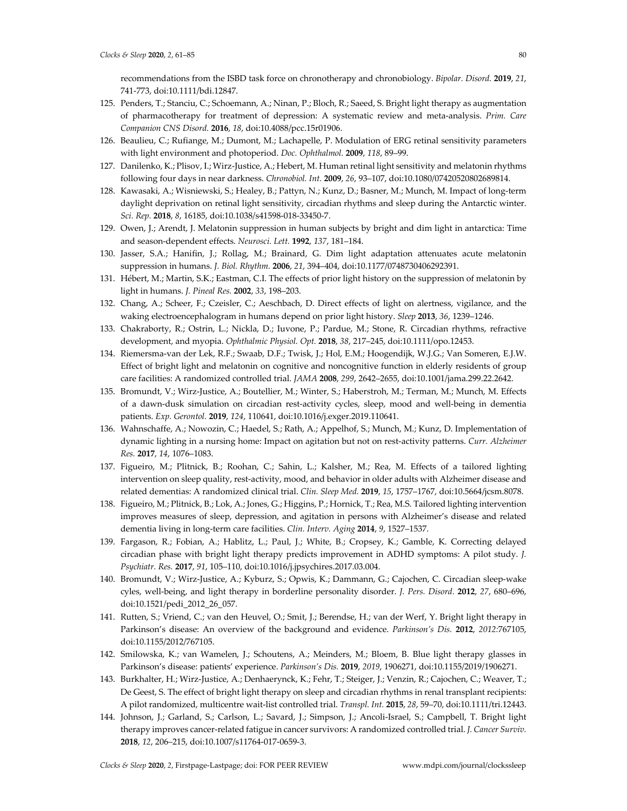recommendations from the ISBD task force on chronotherapy and chronobiology. *Bipolar. Disord.* **2019**, *21*, 741-773, doi:10.1111/bdi.12847.

- 125. Penders, T.; Stanciu, C.; Schoemann, A.; Ninan, P.; Bloch, R.; Saeed, S. Bright light therapy as augmentation of pharmacotherapy for treatment of depression: A systematic review and meta-analysis. *Prim. Care Companion CNS Disord.* **2016**, *18*, doi:10.4088/pcc.15r01906.
- 126. Beaulieu, C.; Rufiange, M.; Dumont, M.; Lachapelle, P. Modulation of ERG retinal sensitivity parameters with light environment and photoperiod. *Doc. Ophthalmol.* **2009**, *118*, 89–99.
- 127. Danilenko, K.; Plisov, I.; Wirz-Justice, A.; Hebert, M. Human retinal light sensitivity and melatonin rhythms following four days in near darkness. *Chronobiol. Int.* **2009**, *26*, 93–107, doi:10.1080/07420520802689814.
- 128. Kawasaki, A.; Wisniewski, S.; Healey, B.; Pattyn, N.; Kunz, D.; Basner, M.; Munch, M. Impact of long-term daylight deprivation on retinal light sensitivity, circadian rhythms and sleep during the Antarctic winter. *Sci. Rep.* **2018**, *8*, 16185, doi:10.1038/s41598-018-33450-7.
- 129. Owen, J.; Arendt, J. Melatonin suppression in human subjects by bright and dim light in antarctica: Time and season-dependent effects. *Neurosci. Lett.* **1992**, *137*, 181–184.
- 130. Jasser, S.A.; Hanifin, J.; Rollag, M.; Brainard, G. Dim light adaptation attenuates acute melatonin suppression in humans. *J. Biol. Rhythm.* **2006**, *21*, 394–404, doi:10.1177/0748730406292391.
- 131. Hébert, M.; Martin, S.K.; Eastman, C.I. The effects of prior light history on the suppression of melatonin by light in humans. *J. Pineal Res.* **2002**, *33*, 198–203.
- 132. Chang, A.; Scheer, F.; Czeisler, C.; Aeschbach, D. Direct effects of light on alertness, vigilance, and the waking electroencephalogram in humans depend on prior light history. *Sleep* **2013**, *36*, 1239–1246.
- 133. Chakraborty, R.; Ostrin, L.; Nickla, D.; Iuvone, P.; Pardue, M.; Stone, R. Circadian rhythms, refractive development, and myopia. *Ophthalmic Physiol. Opt.* **2018**, *38*, 217–245, doi:10.1111/opo.12453.
- 134. Riemersma-van der Lek, R.F.; Swaab, D.F.; Twisk, J.; Hol, E.M.; Hoogendijk, W.J.G.; Van Someren, E.J.W. Effect of bright light and melatonin on cognitive and noncognitive function in elderly residents of group care facilities: A randomized controlled trial. *JAMA* **2008**, *299*, 2642–2655, doi:10.1001/jama.299.22.2642.
- 135. Bromundt, V.; Wirz-Justice, A.; Boutellier, M.; Winter, S.; Haberstroh, M.; Terman, M.; Munch, M. Effects of a dawn-dusk simulation on circadian rest-activity cycles, sleep, mood and well-being in dementia patients. *Exp. Gerontol.* **2019**, *124*, 110641, doi:10.1016/j.exger.2019.110641.
- 136. Wahnschaffe, A.; Nowozin, C.; Haedel, S.; Rath, A.; Appelhof, S.; Munch, M.; Kunz, D. Implementation of dynamic lighting in a nursing home: Impact on agitation but not on rest-activity patterns. *Curr. Alzheimer Res.* **2017**, *14*, 1076–1083.
- 137. Figueiro, M.; Plitnick, B.; Roohan, C.; Sahin, L.; Kalsher, M.; Rea, M. Effects of a tailored lighting intervention on sleep quality, rest-activity, mood, and behavior in older adults with Alzheimer disease and related dementias: A randomized clinical trial. *Clin. Sleep Med.* **2019**, *15*, 1757–1767, doi:10.5664/jcsm.8078.
- 138. Figueiro, M.; Plitnick, B.; Lok, A.; Jones, G.; Higgins, P.; Hornick, T.; Rea, M.S. Tailored lighting intervention improves measures of sleep, depression, and agitation in persons with Alzheimer's disease and related dementia living in long-term care facilities. *Clin. Interv. Aging* **2014**, *9*, 1527–1537.
- 139. Fargason, R.; Fobian, A.; Hablitz, L.; Paul, J.; White, B.; Cropsey, K.; Gamble, K. Correcting delayed circadian phase with bright light therapy predicts improvement in ADHD symptoms: A pilot study. *J. Psychiatr. Res.* **2017**, *91*, 105–110, doi:10.1016/j.jpsychires.2017.03.004.
- 140. Bromundt, V.; Wirz-Justice, A.; Kyburz, S.; Opwis, K.; Dammann, G.; Cajochen, C. Circadian sleep-wake cyles, well-being, and light therapy in borderline personality disorder. *J. Pers. Disord.* **2012**, *27*, 680–696, doi:10.1521/pedi\_2012\_26\_057.
- 141. Rutten, S.; Vriend, C.; van den Heuvel, O.; Smit, J.; Berendse, H.; van der Werf, Y. Bright light therapy in Parkinson's disease: An overview of the background and evidence. *Parkinson's Dis.* **2012**, *2012:*767105, doi:10.1155/2012/767105.
- 142. Smilowska, K.; van Wamelen, J.; Schoutens, A.; Meinders, M.; Bloem, B. Blue light therapy glasses in Parkinson's disease: patients' experience. *Parkinson's Dis.* **2019**, *2019*, 1906271, doi:10.1155/2019/1906271.
- 143. Burkhalter, H.; Wirz-Justice, A.; Denhaerynck, K.; Fehr, T.; Steiger, J.; Venzin, R.; Cajochen, C.; Weaver, T.; De Geest, S. The effect of bright light therapy on sleep and circadian rhythms in renal transplant recipients: A pilot randomized, multicentre wait-list controlled trial. *Transpl. Int.* **2015**, *28*, 59–70, doi:10.1111/tri.12443.
- 144. Johnson, J.; Garland, S.; Carlson, L.; Savard, J.; Simpson, J.; Ancoli-Israel, S.; Campbell, T. Bright light therapy improves cancer-related fatigue in cancer survivors: A randomized controlled trial. *J. Cancer Surviv.*  **2018**, *12*, 206–215, doi:10.1007/s11764-017-0659-3.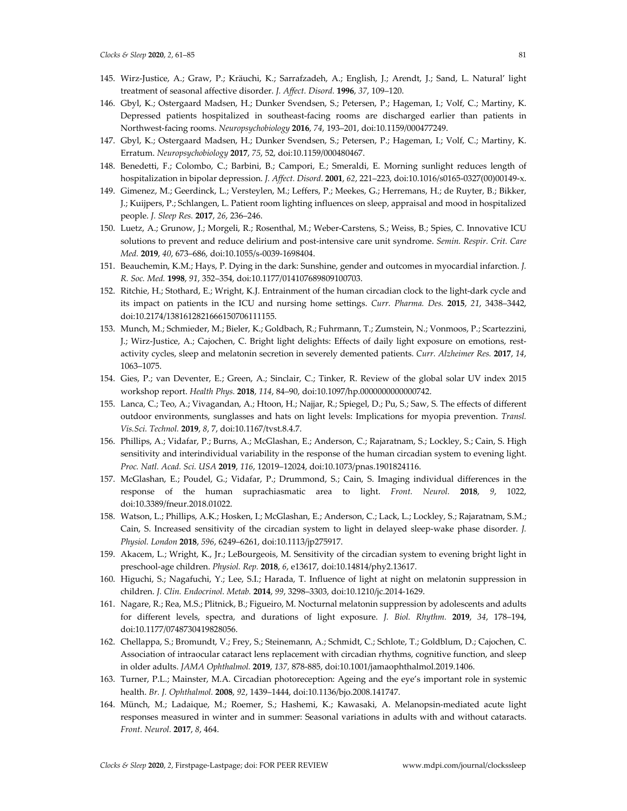- 145. Wirz-Justice, A.; Graw, P.; Kräuchi, K.; Sarrafzadeh, A.; English, J.; Arendt, J.; Sand, L. Natural' light treatment of seasonal affective disorder. *J. Affect. Disord.* **1996**, *37*, 109–120.
- 146. Gbyl, K.; Ostergaard Madsen, H.; Dunker Svendsen, S.; Petersen, P.; Hageman, I.; Volf, C.; Martiny, K. Depressed patients hospitalized in southeast-facing rooms are discharged earlier than patients in Northwest-facing rooms. *Neuropsychobiology* **2016**, *74*, 193–201, doi:10.1159/000477249.
- 147. Gbyl, K.; Ostergaard Madsen, H.; Dunker Svendsen, S.; Petersen, P.; Hageman, I.; Volf, C.; Martiny, K. Erratum. *Neuropsychobiology* **2017**, *75*, 52, doi:10.1159/000480467.
- 148. Benedetti, F.; Colombo, C.; Barbini, B.; Campori, E.; Smeraldi, E. Morning sunlight reduces length of hospitalization in bipolar depression. *J. Affect. Disord.* **2001**, *62*, 221–223, doi:10.1016/s0165-0327(00)00149-x.
- 149. Gimenez, M.; Geerdinck, L.; Versteylen, M.; Leffers, P.; Meekes, G.; Herremans, H.; de Ruyter, B.; Bikker, J.; Kuijpers, P.; Schlangen, L. Patient room lighting influences on sleep, appraisal and mood in hospitalized people. *J. Sleep Res.* **2017**, *26*, 236–246.
- 150. Luetz, A.; Grunow, J.; Morgeli, R.; Rosenthal, M.; Weber-Carstens, S.; Weiss, B.; Spies, C. Innovative ICU solutions to prevent and reduce delirium and post-intensive care unit syndrome. *Semin. Respir. Crit. Care Med.* **2019**, *40*, 673–686, doi:10.1055/s-0039-1698404.
- 151. Beauchemin, K.M.; Hays, P. Dying in the dark: Sunshine, gender and outcomes in myocardial infarction. *J. R. Soc. Med.* **1998**, *91*, 352–354, doi:10.1177/014107689809100703.
- 152. Ritchie, H.; Stothard, E.; Wright, K.J. Entrainment of the human circadian clock to the light-dark cycle and its impact on patients in the ICU and nursing home settings. *Curr. Pharma. Des.* **2015**, *21*, 3438–3442, doi:10.2174/1381612821666150706111155.
- 153. Munch, M.; Schmieder, M.; Bieler, K.; Goldbach, R.; Fuhrmann, T.; Zumstein, N.; Vonmoos, P.; Scartezzini, J.; Wirz-Justice, A.; Cajochen, C. Bright light delights: Effects of daily light exposure on emotions, restactivity cycles, sleep and melatonin secretion in severely demented patients. *Curr. Alzheimer Res.* **2017**, *14*, 1063–1075.
- 154. Gies, P.; van Deventer, E.; Green, A.; Sinclair, C.; Tinker, R. Review of the global solar UV index 2015 workshop report. *Health Phys.* **2018**, *114*, 84–90, doi:10.1097/hp.0000000000000742.
- 155. Lanca, C.; Teo, A.; Vivagandan, A.; Htoon, H.; Najjar, R.; Spiegel, D.; Pu, S.; Saw, S. The effects of different outdoor environments, sunglasses and hats on light levels: Implications for myopia prevention. *Transl. Vis.Sci. Technol.* **2019**, *8*, 7, doi:10.1167/tvst.8.4.7.
- 156. Phillips, A.; Vidafar, P.; Burns, A.; McGlashan, E.; Anderson, C.; Rajaratnam, S.; Lockley, S.; Cain, S. High sensitivity and interindividual variability in the response of the human circadian system to evening light. *Proc. Natl. Acad. Sci. USA* **2019**, *116*, 12019–12024, doi:10.1073/pnas.1901824116.
- 157. McGlashan, E.; Poudel, G.; Vidafar, P.; Drummond, S.; Cain, S. Imaging individual differences in the response of the human suprachiasmatic area to light. *Front. Neurol.* **2018**, *9*, 1022, doi:10.3389/fneur.2018.01022.
- 158. Watson, L.; Phillips, A.K.; Hosken, I.; McGlashan, E.; Anderson, C.; Lack, L.; Lockley, S.; Rajaratnam, S.M.; Cain, S. Increased sensitivity of the circadian system to light in delayed sleep-wake phase disorder. *J. Physiol. London* **2018**, *596*, 6249–6261, doi:10.1113/jp275917.
- 159. Akacem, L.; Wright, K., Jr.; LeBourgeois, M. Sensitivity of the circadian system to evening bright light in preschool-age children. *Physiol. Rep.* **2018**, *6*, e13617, doi:10.14814/phy2.13617.
- 160. Higuchi, S.; Nagafuchi, Y.; Lee, S.I.; Harada, T. Influence of light at night on melatonin suppression in children. *J. Clin. Endocrinol. Metab.* **2014**, *99*, 3298–3303, doi:10.1210/jc.2014-1629.
- 161. Nagare, R.; Rea, M.S.; Plitnick, B.; Figueiro, M. Nocturnal melatonin suppression by adolescents and adults for different levels, spectra, and durations of light exposure. *J. Biol. Rhythm.* **2019**, *34*, 178–194, doi:10.1177/0748730419828056.
- 162. Chellappa, S.; Bromundt, V.; Frey, S.; Steinemann, A.; Schmidt, C.; Schlote, T.; Goldblum, D.; Cajochen, C. Association of intraocular cataract lens replacement with circadian rhythms, cognitive function, and sleep in older adults. *JAMA Ophthalmol.* **2019**, *137,* 878-885, doi:10.1001/jamaophthalmol.2019.1406.
- 163. Turner, P.L.; Mainster, M.A. Circadian photoreception: Ageing and the eye's important role in systemic health. *Br. J. Ophthalmol.* **2008**, *92*, 1439–1444, doi:10.1136/bjo.2008.141747.
- 164. Münch, M.; Ladaique, M.; Roemer, S.; Hashemi, K.; Kawasaki, A. Melanopsin-mediated acute light responses measured in winter and in summer: Seasonal variations in adults with and without cataracts. *Front. Neurol.* **2017**, *8*, 464.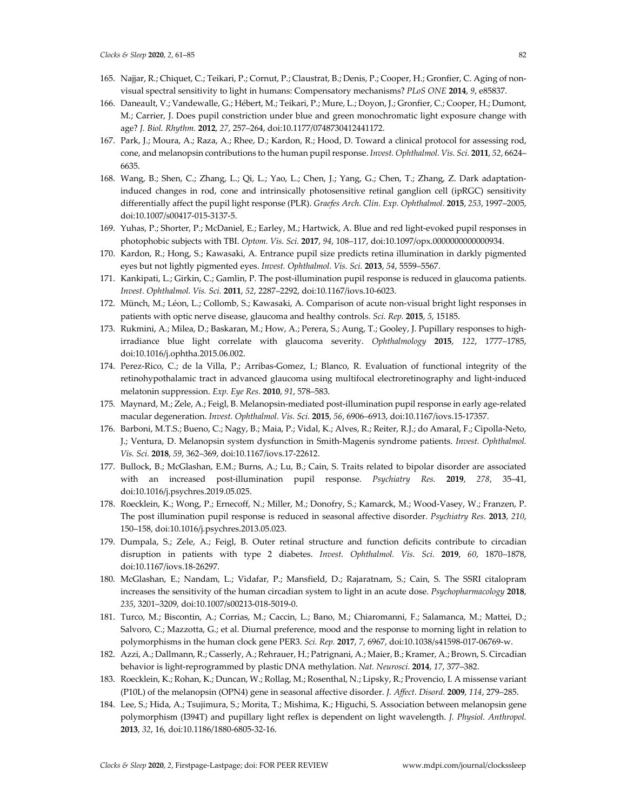- 165. Najjar, R.; Chiquet, C.; Teikari, P.; Cornut, P.; Claustrat, B.; Denis, P.; Cooper, H.; Gronfier, C. Aging of nonvisual spectral sensitivity to light in humans: Compensatory mechanisms? *PLoS ONE* **2014**, *9*, e85837.
- 166. Daneault, V.; Vandewalle, G.; Hébert, M.; Teikari, P.; Mure, L.; Doyon, J.; Gronfier, C.; Cooper, H.; Dumont, M.; Carrier, J. Does pupil constriction under blue and green monochromatic light exposure change with age? *J. Biol. Rhythm.* **2012**, *27*, 257–264, doi:10.1177/0748730412441172.
- 167. Park, J.; Moura, A.; Raza, A.; Rhee, D.; Kardon, R.; Hood, D. Toward a clinical protocol for assessing rod, cone, and melanopsin contributions to the human pupil response. *Invest. Ophthalmol. Vis. Sci.* **2011**, *52*, 6624– 6635.
- 168. Wang, B.; Shen, C.; Zhang, L.; Qi, L.; Yao, L.; Chen, J.; Yang, G.; Chen, T.; Zhang, Z. Dark adaptationinduced changes in rod, cone and intrinsically photosensitive retinal ganglion cell (ipRGC) sensitivity differentially affect the pupil light response (PLR). *Graefes Arch. Clin. Exp. Ophthalmol.* **2015**, *253*, 1997–2005, doi:10.1007/s00417-015-3137-5.
- 169. Yuhas, P.; Shorter, P.; McDaniel, E.; Earley, M.; Hartwick, A. Blue and red light-evoked pupil responses in photophobic subjects with TBI. *Optom. Vis. Sci.* **2017**, *94*, 108–117, doi:10.1097/opx.0000000000000934.
- 170. Kardon, R.; Hong, S.; Kawasaki, A. Entrance pupil size predicts retina illumination in darkly pigmented eyes but not lightly pigmented eyes. *Invest. Ophthalmol. Vis. Sci.* **2013**, *54*, 5559–5567.
- 171. Kankipati, L.; Girkin, C.; Gamlin, P. The post-illumination pupil response is reduced in glaucoma patients. *Invest. Ophthalmol. Vis. Sci.* **2011**, *52*, 2287–2292, doi:10.1167/iovs.10-6023.
- 172. Münch, M.; Léon, L.; Collomb, S.; Kawasaki, A. Comparison of acute non-visual bright light responses in patients with optic nerve disease, glaucoma and healthy controls. *Sci. Rep.* **2015**, *5*, 15185.
- 173. Rukmini, A.; Milea, D.; Baskaran, M.; How, A.; Perera, S.; Aung, T.; Gooley, J. Pupillary responses to highirradiance blue light correlate with glaucoma severity. *Ophthalmology* **2015**, *122*, 1777–1785, doi:10.1016/j.ophtha.2015.06.002.
- 174. Perez-Rico, C.; de la Villa, P.; Arribas-Gomez, I.; Blanco, R. Evaluation of functional integrity of the retinohypothalamic tract in advanced glaucoma using multifocal electroretinography and light-induced melatonin suppression. *Exp. Eye Res.* **2010**, *91*, 578–583.
- 175. Maynard, M.; Zele, A.; Feigl, B. Melanopsin-mediated post-illumination pupil response in early age-related macular degeneration. *Invest. Ophthalmol. Vis. Sci.* **2015**, *56*, 6906–6913, doi:10.1167/iovs.15-17357.
- 176. Barboni, M.T.S.; Bueno, C.; Nagy, B.; Maia, P.; Vidal, K.; Alves, R.; Reiter, R.J.; do Amaral, F.; Cipolla-Neto, J.; Ventura, D. Melanopsin system dysfunction in Smith-Magenis syndrome patients. *Invest. Ophthalmol. Vis. Sci.* **2018**, *59*, 362–369, doi:10.1167/iovs.17-22612.
- 177. Bullock, B.; McGlashan, E.M.; Burns, A.; Lu, B.; Cain, S. Traits related to bipolar disorder are associated with an increased post-illumination pupil response. *Psychiatry Res.* **2019**, *278*, 35–41, doi:10.1016/j.psychres.2019.05.025.
- 178. Roecklein, K.; Wong, P.; Ernecoff, N.; Miller, M.; Donofry, S.; Kamarck, M.; Wood-Vasey, W.; Franzen, P. The post illumination pupil response is reduced in seasonal affective disorder. *Psychiatry Res.* **2013**, *210*, 150–158, doi:10.1016/j.psychres.2013.05.023.
- 179. Dumpala, S.; Zele, A.; Feigl, B. Outer retinal structure and function deficits contribute to circadian disruption in patients with type 2 diabetes. *Invest. Ophthalmol. Vis. Sci.* **2019**, *60*, 1870–1878, doi:10.1167/iovs.18-26297.
- 180. McGlashan, E.; Nandam, L.; Vidafar, P.; Mansfield, D.; Rajaratnam, S.; Cain, S. The SSRI citalopram increases the sensitivity of the human circadian system to light in an acute dose. *Psychopharmacology* **2018**, *235*, 3201–3209, doi:10.1007/s00213-018-5019-0.
- 181. Turco, M.; Biscontin, A.; Corrias, M.; Caccin, L.; Bano, M.; Chiaromanni, F.; Salamanca, M.; Mattei, D.; Salvoro, C.; Mazzotta, G.; et al. Diurnal preference, mood and the response to morning light in relation to polymorphisms in the human clock gene PER3. *Sci. Rep.* **2017**, *7*, 6967, doi:10.1038/s41598-017-06769-w.
- 182. Azzi, A.; Dallmann, R.; Casserly, A.; Rehrauer, H.; Patrignani, A.; Maier, B.; Kramer, A.; Brown, S. Circadian behavior is light-reprogrammed by plastic DNA methylation. *Nat. Neurosci.* **2014**, *17*, 377–382.
- 183. Roecklein, K.; Rohan, K.; Duncan, W.; Rollag, M.; Rosenthal, N.; Lipsky, R.; Provencio, I. A missense variant (P10L) of the melanopsin (OPN4) gene in seasonal affective disorder. *J. Affect. Disord.* **2009**, *114*, 279–285.
- 184. Lee, S.; Hida, A.; Tsujimura, S.; Morita, T.; Mishima, K.; Higuchi, S. Association between melanopsin gene polymorphism (I394T) and pupillary light reflex is dependent on light wavelength. *J. Physiol. Anthropol.*  **2013**, *32*, 16, doi:10.1186/1880-6805-32-16.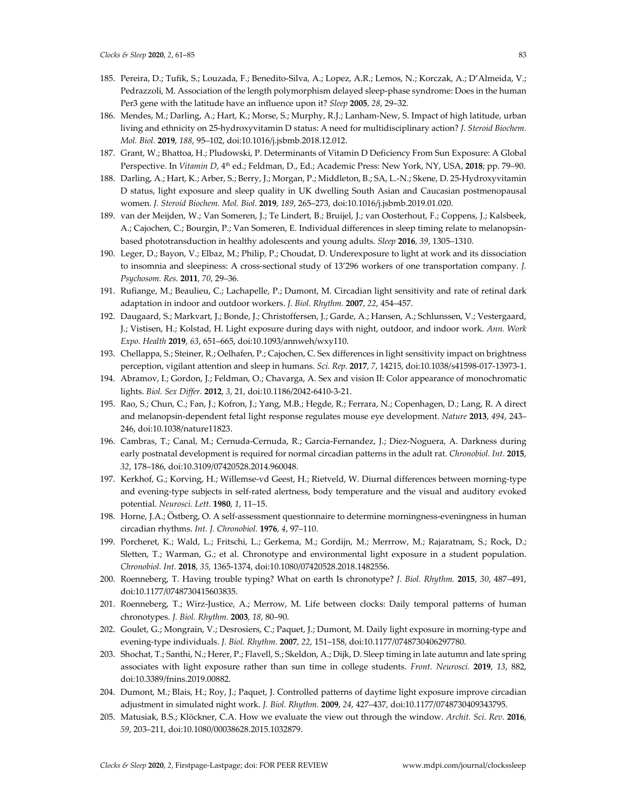- 185. Pereira, D.; Tufik, S.; Louzada, F.; Benedito-Silva, A.; Lopez, A.R.; Lemos, N.; Korczak, A.; D'Almeida, V.; Pedrazzoli, M. Association of the length polymorphism delayed sleep-phase syndrome: Does in the human Per3 gene with the latitude have an influence upon it? *Sleep* **2005**, *28*, 29–32.
- 186. Mendes, M.; Darling, A.; Hart, K.; Morse, S.; Murphy, R.J.; Lanham-New, S. Impact of high latitude, urban living and ethnicity on 25-hydroxyvitamin D status: A need for multidisciplinary action? *J. Steroid Biochem. Mol. Biol.* **2019**, *188*, 95–102, doi:10.1016/j.jsbmb.2018.12.012.
- 187. Grant, W.; Bhattoa, H.; Pludowski, P. Determinants of Vitamin D Deficiency From Sun Exposure: A Global Perspective. In *Vitamin D,* 4<sup>th</sup> ed.; Feldman, D., Ed.; Academic Press: New York, NY, USA, 2018; pp. 79–90.
- 188. Darling, A.; Hart, K.; Arber, S.; Berry, J.; Morgan, P.; Middleton, B.; SA, L.-N.; Skene, D. 25-Hydroxyvitamin D status, light exposure and sleep quality in UK dwelling South Asian and Caucasian postmenopausal women. *J. Steroid Biochem. Mol. Biol.* **2019**, *189*, 265–273, doi:10.1016/j.jsbmb.2019.01.020.
- 189. van der Meijden, W.; Van Someren, J.; Te Lindert, B.; Bruijel, J.; van Oosterhout, F.; Coppens, J.; Kalsbeek, A.; Cajochen, C.; Bourgin, P.; Van Someren, E. Individual differences in sleep timing relate to melanopsinbased phototransduction in healthy adolescents and young adults. *Sleep* **2016**, *39*, 1305–1310.
- 190. Leger, D.; Bayon, V.; Elbaz, M.; Philip, P.; Choudat, D. Underexposure to light at work and its dissociation to insomnia and sleepiness: A cross-sectional study of 13'296 workers of one transportation company. *J. Psychosom. Res.* **2011**, *70*, 29–36.
- 191. Rufiange, M.; Beaulieu, C.; Lachapelle, P.; Dumont, M. Circadian light sensitivity and rate of retinal dark adaptation in indoor and outdoor workers. *J. Biol. Rhythm.* **2007**, *22*, 454–457.
- 192. Daugaard, S.; Markvart, J.; Bonde, J.; Christoffersen, J.; Garde, A.; Hansen, A.; Schlunssen, V.; Vestergaard, J.; Vistisen, H.; Kolstad, H. Light exposure during days with night, outdoor, and indoor work. *Ann. Work Expo. Health* **2019**, *63*, 651–665, doi:10.1093/annweh/wxy110.
- 193. Chellappa, S.; Steiner, R.; Oelhafen, P.; Cajochen, C. Sex differences in light sensitivity impact on brightness perception, vigilant attention and sleep in humans. *Sci. Rep.* **2017**, *7*, 14215, doi:10.1038/s41598-017-13973-1.
- 194. Abramov, I.; Gordon, J.; Feldman, O.; Chavarga, A. Sex and vision II: Color appearance of monochromatic lights. *Biol. Sex Differ.* **2012**, *3*, 21, doi:10.1186/2042-6410-3-21.
- 195. Rao, S.; Chun, C.; Fan, J.; Kofron, J.; Yang, M.B.; Hegde, R.; Ferrara, N.; Copenhagen, D.; Lang, R. A direct and melanopsin-dependent fetal light response regulates mouse eye development. *Nature* **2013**, *494*, 243– 246, doi:10.1038/nature11823.
- 196. Cambras, T.; Canal, M.; Cernuda-Cernuda, R.; Garcia-Fernandez, J.; Diez-Noguera, A. Darkness during early postnatal development is required for normal circadian patterns in the adult rat. *Chronobiol. Int.* **2015**, *32*, 178–186, doi:10.3109/07420528.2014.960048.
- 197. Kerkhof, G.; Korving, H.; Willemse-vd Geest, H.; Rietveld, W. Diurnal differences between morning-type and evening-type subjects in self-rated alertness, body temperature and the visual and auditory evoked potential. *Neurosci. Lett.* **1980**, *1*, 11–15.
- 198. Horne, J.A.; Östberg, O. A self-assessment questionnaire to determine morningness-eveningness in human circadian rhythms. *Int. J. Chronobiol.* **1976**, *4*, 97–110.
- 199. Porcheret, K.; Wald, L.; Fritschi, L.; Gerkema, M.; Gordijn, M.; Merrrow, M.; Rajaratnam, S.; Rock, D.; Sletten, T.; Warman, G.; et al. Chronotype and environmental light exposure in a student population. *Chronobiol. Int.* **2018**, *35,* 1365-1374, doi:10.1080/07420528.2018.1482556.
- 200. Roenneberg, T. Having trouble typing? What on earth Is chronotype? *J. Biol. Rhythm.* **2015**, *30*, 487–491, doi:10.1177/0748730415603835.
- 201. Roenneberg, T.; Wirz-Justice, A.; Merrow, M. Life between clocks: Daily temporal patterns of human chronotypes. *J. Biol. Rhythm.* **2003**, *18*, 80–90.
- 202. Goulet, G.; Mongrain, V.; Desrosiers, C.; Paquet, J.; Dumont, M. Daily light exposure in morning-type and evening-type individuals. *J. Biol. Rhythm.* **2007**, *22*, 151–158, doi:10.1177/0748730406297780.
- 203. Shochat, T.; Santhi, N.; Herer, P.; Flavell, S.; Skeldon, A.; Dijk, D. Sleep timing in late autumn and late spring associates with light exposure rather than sun time in college students. *Front. Neurosci.* **2019**, *13*, 882, doi:10.3389/fnins.2019.00882.
- 204. Dumont, M.; Blais, H.; Roy, J.; Paquet, J. Controlled patterns of daytime light exposure improve circadian adjustment in simulated night work. *J. Biol. Rhythm.* **2009**, *24*, 427–437, doi:10.1177/0748730409343795.
- 205. Matusiak, B.S.; Klöckner, C.A. How we evaluate the view out through the window. *Archit. Sci. Rev.* **2016**, *59*, 203–211, doi:10.1080/00038628.2015.1032879.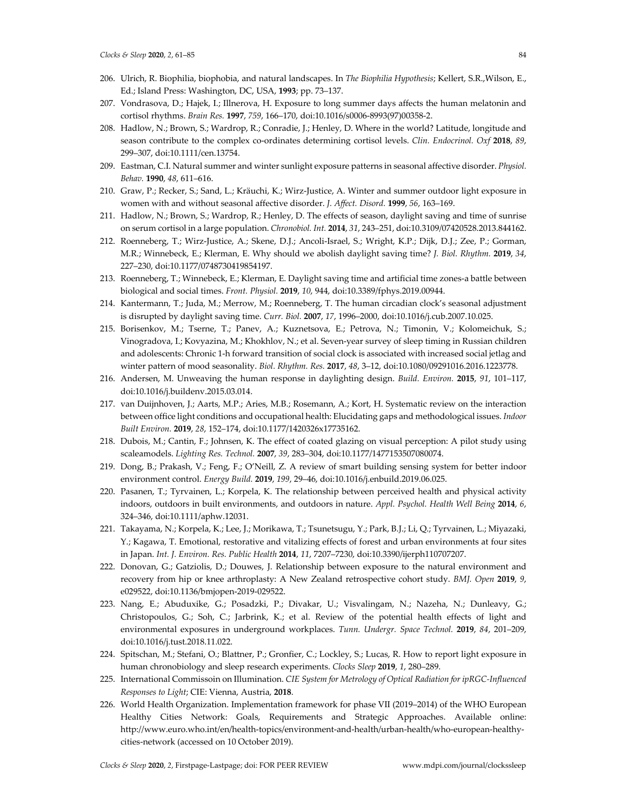- 206. Ulrich, R. Biophilia, biophobia, and natural landscapes. In *The Biophilia Hypothesis*; Kellert, S.R.,Wilson, E., Ed.; Island Press: Washington, DC, USA, **1993**; pp. 73–137.
- 207. Vondrasova, D.; Hajek, I.; Illnerova, H. Exposure to long summer days affects the human melatonin and cortisol rhythms. *Brain Res.* **1997**, *759*, 166–170, doi:10.1016/s0006-8993(97)00358-2.
- 208. Hadlow, N.; Brown, S.; Wardrop, R.; Conradie, J.; Henley, D. Where in the world? Latitude, longitude and season contribute to the complex co-ordinates determining cortisol levels. *Clin. Endocrinol. Oxf* **2018**, *89*, 299–307, doi:10.1111/cen.13754.
- 209. Eastman, C.I. Natural summer and winter sunlight exposure patterns in seasonal affective disorder. *Physiol. Behav.* **1990**, *48*, 611–616.
- 210. Graw, P.; Recker, S.; Sand, L.; Kräuchi, K.; Wirz-Justice, A. Winter and summer outdoor light exposure in women with and without seasonal affective disorder. *J. Affect. Disord.* **1999**, *56*, 163–169.
- 211. Hadlow, N.; Brown, S.; Wardrop, R.; Henley, D. The effects of season, daylight saving and time of sunrise on serum cortisol in a large population. *Chronobiol. Int.* **2014**, *31*, 243–251, doi:10.3109/07420528.2013.844162.
- 212. Roenneberg, T.; Wirz-Justice, A.; Skene, D.J.; Ancoli-Israel, S.; Wright, K.P.; Dijk, D.J.; Zee, P.; Gorman, M.R.; Winnebeck, E.; Klerman, E. Why should we abolish daylight saving time? *J. Biol. Rhythm.* **2019**, *34*, 227–230, doi:10.1177/0748730419854197.
- 213. Roenneberg, T.; Winnebeck, E.; Klerman, E. Daylight saving time and artificial time zones-a battle between biological and social times. *Front. Physiol.* **2019**, *10*, 944, doi:10.3389/fphys.2019.00944.
- 214. Kantermann, T.; Juda, M.; Merrow, M.; Roenneberg, T. The human circadian clock's seasonal adjustment is disrupted by daylight saving time. *Curr. Biol.* **2007**, *17*, 1996–2000, doi:10.1016/j.cub.2007.10.025.
- 215. Borisenkov, M.; Tserne, T.; Panev, A.; Kuznetsova, E.; Petrova, N.; Timonin, V.; Kolomeichuk, S.; Vinogradova, I.; Kovyazina, M.; Khokhlov, N.; et al. Seven-year survey of sleep timing in Russian children and adolescents: Chronic 1-h forward transition of social clock is associated with increased social jetlag and winter pattern of mood seasonality. *Biol. Rhythm. Res.* **2017**, *48*, 3–12, doi:10.1080/09291016.2016.1223778.
- 216. Andersen, M. Unweaving the human response in daylighting design. *Build. Environ.* **2015**, *91*, 101–117, doi:10.1016/j.buildenv.2015.03.014.
- 217. van Duijnhoven, J.; Aarts, M.P.; Aries, M.B.; Rosemann, A.; Kort, H. Systematic review on the interaction between office light conditions and occupational health: Elucidating gaps and methodological issues. *Indoor Built Environ.* **2019**, *28*, 152–174, doi:10.1177/1420326x17735162.
- 218. Dubois, M.; Cantin, F.; Johnsen, K. The effect of coated glazing on visual perception: A pilot study using scaleamodels. *Lighting Res. Technol.* **2007**, *39*, 283–304, doi:10.1177/1477153507080074.
- 219. Dong, B.; Prakash, V.; Feng, F.; O'Neill, Z. A review of smart building sensing system for better indoor environment control. *Energy Build.* **2019**, *199*, 29–46, doi:10.1016/j.enbuild.2019.06.025.
- 220. Pasanen, T.; Tyrvainen, L.; Korpela, K. The relationship between perceived health and physical activity indoors, outdoors in built environments, and outdoors in nature. *Appl. Psychol. Health Well Being* **2014**, *6*, 324–346, doi:10.1111/aphw.12031.
- 221. Takayama, N.; Korpela, K.; Lee, J.; Morikawa, T.; Tsunetsugu, Y.; Park, B.J.; Li, Q.; Tyrvainen, L.; Miyazaki, Y.; Kagawa, T. Emotional, restorative and vitalizing effects of forest and urban environments at four sites in Japan. *Int. J. Environ. Res. Public Health* **2014**, *11*, 7207–7230, doi:10.3390/ijerph110707207.
- 222. Donovan, G.; Gatziolis, D.; Douwes, J. Relationship between exposure to the natural environment and recovery from hip or knee arthroplasty: A New Zealand retrospective cohort study. *BMJ. Open* **2019**, *9*, e029522, doi:10.1136/bmjopen-2019-029522.
- 223. Nang, E.; Abuduxike, G.; Posadzki, P.; Divakar, U.; Visvalingam, N.; Nazeha, N.; Dunleavy, G.; Christopoulos, G.; Soh, C.; Jarbrink, K.; et al. Review of the potential health effects of light and environmental exposures in underground workplaces. *Tunn. Undergr. Space Technol.* **2019**, *84*, 201–209, doi:10.1016/j.tust.2018.11.022.
- 224. Spitschan, M.; Stefani, O.; Blattner, P.; Gronfier, C.; Lockley, S.; Lucas, R. How to report light exposure in human chronobiology and sleep research experiments. *Clocks Sleep* **2019**, *1*, 280–289.
- 225. International Commissoin on Illumination. *CIE System for Metrology of Optical Radiation for ipRGC-Influenced Responses to Light*; CIE: Vienna, Austria, **2018**.
- 226. World Health Organization. Implementation framework for phase VII (2019–2014) of the WHO European Healthy Cities Network: Goals, Requirements and Strategic Approaches. Available online: http://www.euro.who.int/en/health-topics/environment-and-health/urban-health/who-european-healthycities-network (accessed on 10 October 2019).